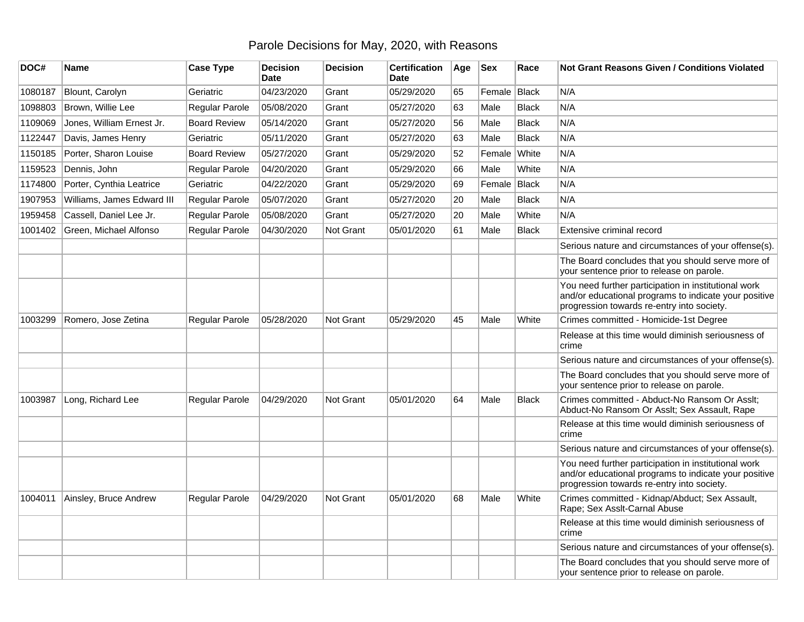## Parole Decisions for May, 2020, with Reasons

| DOC#    | Name                       | <b>Case Type</b>    | <b>Decision</b><br><b>Date</b> | <b>Decision</b>  | <b>Certification</b><br>Date | Age | <b>Sex</b>   | Race         | Not Grant Reasons Given / Conditions Violated                                                                                                               |
|---------|----------------------------|---------------------|--------------------------------|------------------|------------------------------|-----|--------------|--------------|-------------------------------------------------------------------------------------------------------------------------------------------------------------|
| 1080187 | Blount, Carolyn            | Geriatric           | 04/23/2020                     | Grant            | 05/29/2020                   | 65  | Female Black |              | N/A                                                                                                                                                         |
| 1098803 | Brown, Willie Lee          | Regular Parole      | 05/08/2020                     | Grant            | 05/27/2020                   | 63  | Male         | <b>Black</b> | N/A                                                                                                                                                         |
| 1109069 | Jones, William Ernest Jr.  | <b>Board Review</b> | 05/14/2020                     | Grant            | 05/27/2020                   | 56  | Male         | <b>Black</b> | N/A                                                                                                                                                         |
| 1122447 | Davis, James Henry         | Geriatric           | 05/11/2020                     | Grant            | 05/27/2020                   | 63  | Male         | <b>Black</b> | N/A                                                                                                                                                         |
| 1150185 | Porter, Sharon Louise      | <b>Board Review</b> | 05/27/2020                     | Grant            | 05/29/2020                   | 52  | Female       | White        | N/A                                                                                                                                                         |
| 1159523 | Dennis, John               | Regular Parole      | 04/20/2020                     | Grant            | 05/29/2020                   | 66  | Male         | White        | N/A                                                                                                                                                         |
| 1174800 | Porter, Cynthia Leatrice   | Geriatric           | 04/22/2020                     | Grant            | 05/29/2020                   | 69  | Female       | Black        | N/A                                                                                                                                                         |
| 1907953 | Williams, James Edward III | Regular Parole      | 05/07/2020                     | Grant            | 05/27/2020                   | 20  | Male         | <b>Black</b> | N/A                                                                                                                                                         |
| 1959458 | Cassell, Daniel Lee Jr.    | Regular Parole      | 05/08/2020                     | Grant            | 05/27/2020                   | 20  | Male         | White        | N/A                                                                                                                                                         |
| 1001402 | Green, Michael Alfonso     | Regular Parole      | 04/30/2020                     | Not Grant        | 05/01/2020                   | 61  | Male         | Black        | Extensive criminal record                                                                                                                                   |
|         |                            |                     |                                |                  |                              |     |              |              | Serious nature and circumstances of your offense(s).                                                                                                        |
|         |                            |                     |                                |                  |                              |     |              |              | The Board concludes that you should serve more of<br>your sentence prior to release on parole.                                                              |
|         |                            |                     |                                |                  |                              |     |              |              | You need further participation in institutional work<br>and/or educational programs to indicate your positive<br>progression towards re-entry into society. |
| 1003299 | Romero, Jose Zetina        | Regular Parole      | 05/28/2020                     | <b>Not Grant</b> | 05/29/2020                   | 45  | Male         | White        | Crimes committed - Homicide-1st Degree                                                                                                                      |
|         |                            |                     |                                |                  |                              |     |              |              | Release at this time would diminish seriousness of<br>crime                                                                                                 |
|         |                            |                     |                                |                  |                              |     |              |              | Serious nature and circumstances of your offense(s).                                                                                                        |
|         |                            |                     |                                |                  |                              |     |              |              | The Board concludes that you should serve more of<br>your sentence prior to release on parole.                                                              |
| 1003987 | Long, Richard Lee          | Regular Parole      | 04/29/2020                     | Not Grant        | 05/01/2020                   | 64  | Male         | <b>Black</b> | Crimes committed - Abduct-No Ransom Or Asslt;<br>Abduct-No Ransom Or Asslt; Sex Assault, Rape                                                               |
|         |                            |                     |                                |                  |                              |     |              |              | Release at this time would diminish seriousness of<br>crime                                                                                                 |
|         |                            |                     |                                |                  |                              |     |              |              | Serious nature and circumstances of your offense(s).                                                                                                        |
|         |                            |                     |                                |                  |                              |     |              |              | You need further participation in institutional work<br>and/or educational programs to indicate your positive<br>progression towards re-entry into society. |
| 1004011 | Ainsley, Bruce Andrew      | Regular Parole      | 04/29/2020                     | Not Grant        | 05/01/2020                   | 68  | Male         | White        | Crimes committed - Kidnap/Abduct; Sex Assault,<br>Rape; Sex Asslt-Carnal Abuse                                                                              |
|         |                            |                     |                                |                  |                              |     |              |              | Release at this time would diminish seriousness of<br>crime                                                                                                 |
|         |                            |                     |                                |                  |                              |     |              |              | Serious nature and circumstances of your offense(s).                                                                                                        |
|         |                            |                     |                                |                  |                              |     |              |              | The Board concludes that you should serve more of<br>your sentence prior to release on parole.                                                              |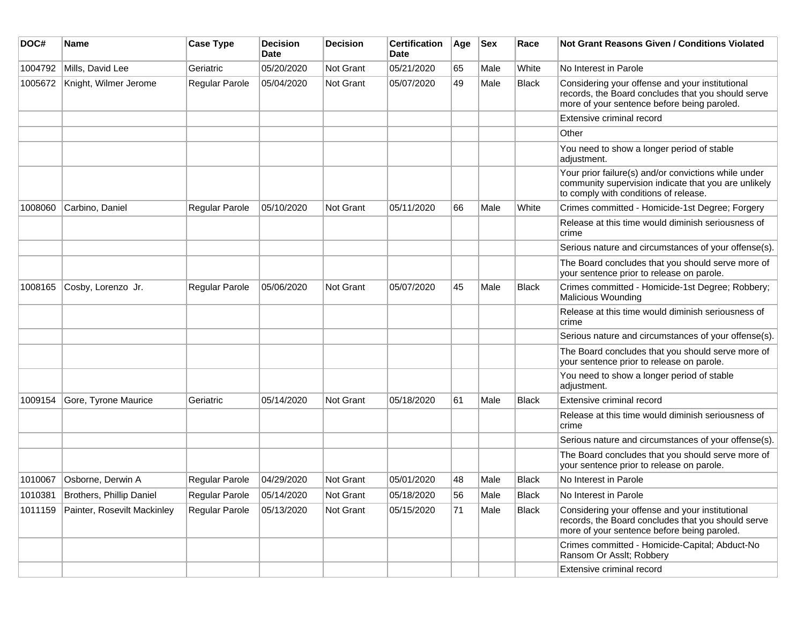| DOC#    | Name                        | <b>Case Type</b> | <b>Decision</b><br><b>Date</b> | <b>Decision</b> | <b>Certification</b><br>Date | Age | <b>Sex</b> | Race         | <b>Not Grant Reasons Given / Conditions Violated</b>                                                                                                  |
|---------|-----------------------------|------------------|--------------------------------|-----------------|------------------------------|-----|------------|--------------|-------------------------------------------------------------------------------------------------------------------------------------------------------|
| 1004792 | Mills, David Lee            | Geriatric        | 05/20/2020                     | Not Grant       | 05/21/2020                   | 65  | Male       | White        | No Interest in Parole                                                                                                                                 |
| 1005672 | Knight, Wilmer Jerome       | Regular Parole   | 05/04/2020                     | Not Grant       | 05/07/2020                   | 49  | Male       | <b>Black</b> | Considering your offense and your institutional<br>records, the Board concludes that you should serve<br>more of your sentence before being paroled.  |
|         |                             |                  |                                |                 |                              |     |            |              | Extensive criminal record                                                                                                                             |
|         |                             |                  |                                |                 |                              |     |            |              | Other                                                                                                                                                 |
|         |                             |                  |                                |                 |                              |     |            |              | You need to show a longer period of stable<br>adjustment.                                                                                             |
|         |                             |                  |                                |                 |                              |     |            |              | Your prior failure(s) and/or convictions while under<br>community supervision indicate that you are unlikely<br>to comply with conditions of release. |
| 1008060 | Carbino, Daniel             | Regular Parole   | 05/10/2020                     | Not Grant       | 05/11/2020                   | 66  | Male       | White        | Crimes committed - Homicide-1st Degree; Forgery                                                                                                       |
|         |                             |                  |                                |                 |                              |     |            |              | Release at this time would diminish seriousness of<br>crime                                                                                           |
|         |                             |                  |                                |                 |                              |     |            |              | Serious nature and circumstances of your offense(s).                                                                                                  |
|         |                             |                  |                                |                 |                              |     |            |              | The Board concludes that you should serve more of<br>your sentence prior to release on parole.                                                        |
| 1008165 | Cosby, Lorenzo Jr.          | Regular Parole   | 05/06/2020                     | Not Grant       | 05/07/2020                   | 45  | Male       | <b>Black</b> | Crimes committed - Homicide-1st Degree; Robbery;<br>Malicious Wounding                                                                                |
|         |                             |                  |                                |                 |                              |     |            |              | Release at this time would diminish seriousness of<br>crime                                                                                           |
|         |                             |                  |                                |                 |                              |     |            |              | Serious nature and circumstances of your offense(s).                                                                                                  |
|         |                             |                  |                                |                 |                              |     |            |              | The Board concludes that you should serve more of<br>your sentence prior to release on parole.                                                        |
|         |                             |                  |                                |                 |                              |     |            |              | You need to show a longer period of stable<br>adjustment.                                                                                             |
| 1009154 | Gore, Tyrone Maurice        | Geriatric        | 05/14/2020                     | Not Grant       | 05/18/2020                   | 61  | Male       | Black        | Extensive criminal record                                                                                                                             |
|         |                             |                  |                                |                 |                              |     |            |              | Release at this time would diminish seriousness of<br>crime                                                                                           |
|         |                             |                  |                                |                 |                              |     |            |              | Serious nature and circumstances of your offense(s).                                                                                                  |
|         |                             |                  |                                |                 |                              |     |            |              | The Board concludes that you should serve more of<br>your sentence prior to release on parole.                                                        |
| 1010067 | Osborne, Derwin A           | Regular Parole   | 04/29/2020                     | Not Grant       | 05/01/2020                   | 48  | Male       | <b>Black</b> | No Interest in Parole                                                                                                                                 |
| 1010381 | Brothers, Phillip Daniel    | Regular Parole   | 05/14/2020                     | Not Grant       | 05/18/2020                   | 56  | Male       | <b>Black</b> | No Interest in Parole                                                                                                                                 |
| 1011159 | Painter, Rosevilt Mackinley | Regular Parole   | 05/13/2020                     | Not Grant       | 05/15/2020                   | 71  | Male       | <b>Black</b> | Considering your offense and your institutional<br>records, the Board concludes that you should serve<br>more of your sentence before being paroled.  |
|         |                             |                  |                                |                 |                              |     |            |              | Crimes committed - Homicide-Capital; Abduct-No<br>Ransom Or Asslt; Robbery                                                                            |
|         |                             |                  |                                |                 |                              |     |            |              | Extensive criminal record                                                                                                                             |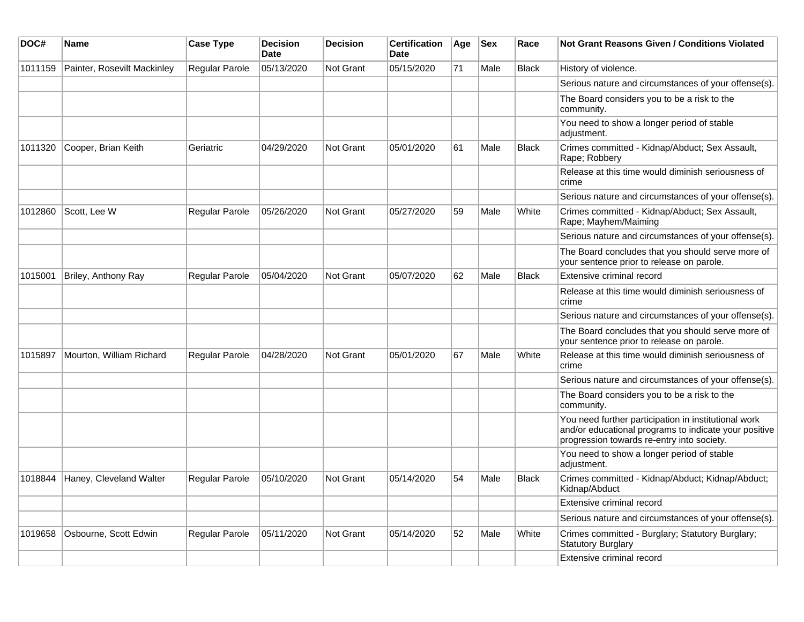| DOC#    | <b>Name</b>                 | <b>Case Type</b>      | <b>Decision</b><br><b>Date</b> | <b>Decision</b>  | <b>Certification</b><br><b>Date</b> | Age | <b>Sex</b> | Race         | <b>Not Grant Reasons Given / Conditions Violated</b>                                                                                                        |
|---------|-----------------------------|-----------------------|--------------------------------|------------------|-------------------------------------|-----|------------|--------------|-------------------------------------------------------------------------------------------------------------------------------------------------------------|
| 1011159 | Painter, Rosevilt Mackinley | <b>Regular Parole</b> | 05/13/2020                     | Not Grant        | 05/15/2020                          | 71  | Male       | <b>Black</b> | History of violence.                                                                                                                                        |
|         |                             |                       |                                |                  |                                     |     |            |              | Serious nature and circumstances of your offense(s).                                                                                                        |
|         |                             |                       |                                |                  |                                     |     |            |              | The Board considers you to be a risk to the<br>community.                                                                                                   |
|         |                             |                       |                                |                  |                                     |     |            |              | You need to show a longer period of stable<br>adjustment.                                                                                                   |
| 1011320 | Cooper, Brian Keith         | Geriatric             | 04/29/2020                     | Not Grant        | 05/01/2020                          | 61  | Male       | <b>Black</b> | Crimes committed - Kidnap/Abduct; Sex Assault,<br>Rape; Robbery                                                                                             |
|         |                             |                       |                                |                  |                                     |     |            |              | Release at this time would diminish seriousness of<br>crime                                                                                                 |
|         |                             |                       |                                |                  |                                     |     |            |              | Serious nature and circumstances of your offense(s).                                                                                                        |
| 1012860 | Scott, Lee W                | <b>Regular Parole</b> | 05/26/2020                     | Not Grant        | 05/27/2020                          | 59  | Male       | White        | Crimes committed - Kidnap/Abduct; Sex Assault,<br>Rape; Mayhem/Maiming                                                                                      |
|         |                             |                       |                                |                  |                                     |     |            |              | Serious nature and circumstances of your offense(s).                                                                                                        |
|         |                             |                       |                                |                  |                                     |     |            |              | The Board concludes that you should serve more of<br>your sentence prior to release on parole.                                                              |
| 1015001 | Briley, Anthony Ray         | <b>Regular Parole</b> | 05/04/2020                     | Not Grant        | 05/07/2020                          | 62  | Male       | <b>Black</b> | Extensive criminal record                                                                                                                                   |
|         |                             |                       |                                |                  |                                     |     |            |              | Release at this time would diminish seriousness of<br>crime                                                                                                 |
|         |                             |                       |                                |                  |                                     |     |            |              | Serious nature and circumstances of your offense(s).                                                                                                        |
|         |                             |                       |                                |                  |                                     |     |            |              | The Board concludes that you should serve more of<br>your sentence prior to release on parole.                                                              |
| 1015897 | Mourton, William Richard    | Regular Parole        | 04/28/2020                     | <b>Not Grant</b> | 05/01/2020                          | 67  | Male       | White        | Release at this time would diminish seriousness of<br>crime                                                                                                 |
|         |                             |                       |                                |                  |                                     |     |            |              | Serious nature and circumstances of your offense(s).                                                                                                        |
|         |                             |                       |                                |                  |                                     |     |            |              | The Board considers you to be a risk to the<br>community.                                                                                                   |
|         |                             |                       |                                |                  |                                     |     |            |              | You need further participation in institutional work<br>and/or educational programs to indicate your positive<br>progression towards re-entry into society. |
|         |                             |                       |                                |                  |                                     |     |            |              | You need to show a longer period of stable<br>adjustment.                                                                                                   |
| 1018844 | Haney, Cleveland Walter     | <b>Regular Parole</b> | 05/10/2020                     | <b>Not Grant</b> | 05/14/2020                          | 54  | Male       | <b>Black</b> | Crimes committed - Kidnap/Abduct; Kidnap/Abduct;<br>Kidnap/Abduct                                                                                           |
|         |                             |                       |                                |                  |                                     |     |            |              | Extensive criminal record                                                                                                                                   |
|         |                             |                       |                                |                  |                                     |     |            |              | Serious nature and circumstances of your offense(s).                                                                                                        |
| 1019658 | Osbourne, Scott Edwin       | Regular Parole        | 05/11/2020                     | <b>Not Grant</b> | 05/14/2020                          | 52  | Male       | White        | Crimes committed - Burglary; Statutory Burglary;<br><b>Statutory Burglary</b>                                                                               |
|         |                             |                       |                                |                  |                                     |     |            |              | Extensive criminal record                                                                                                                                   |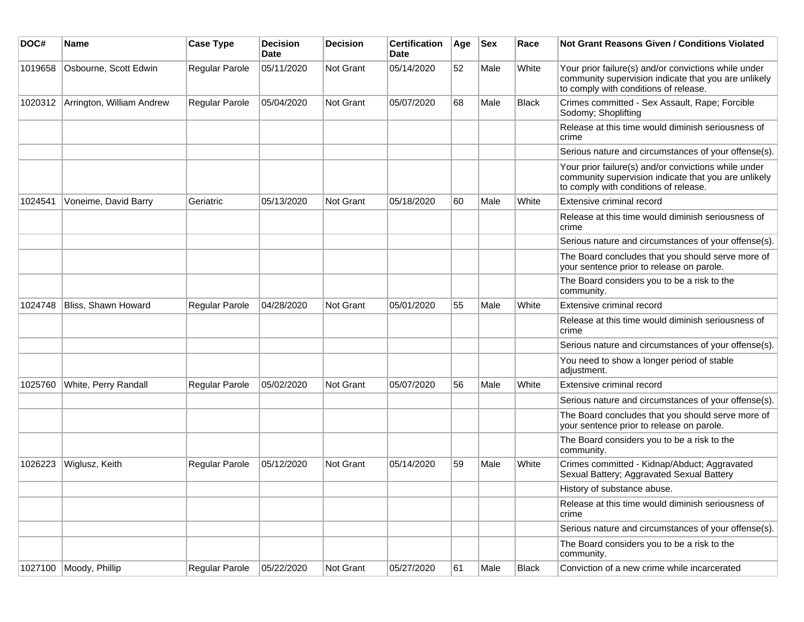| DOC#    | Name                      | <b>Case Type</b> | <b>Decision</b><br><b>Date</b> | <b>Decision</b> | <b>Certification</b><br>Date | Age | <b>Sex</b> | Race         | Not Grant Reasons Given / Conditions Violated                                                                                                         |
|---------|---------------------------|------------------|--------------------------------|-----------------|------------------------------|-----|------------|--------------|-------------------------------------------------------------------------------------------------------------------------------------------------------|
| 1019658 | Osbourne, Scott Edwin     | Regular Parole   | 05/11/2020                     | Not Grant       | 05/14/2020                   | 52  | Male       | White        | Your prior failure(s) and/or convictions while under<br>community supervision indicate that you are unlikely<br>to comply with conditions of release. |
| 1020312 | Arrington, William Andrew | Regular Parole   | 05/04/2020                     | Not Grant       | 05/07/2020                   | 68  | Male       | <b>Black</b> | Crimes committed - Sex Assault, Rape; Forcible<br>Sodomy; Shoplifting                                                                                 |
|         |                           |                  |                                |                 |                              |     |            |              | Release at this time would diminish seriousness of<br>crime                                                                                           |
|         |                           |                  |                                |                 |                              |     |            |              | Serious nature and circumstances of your offense(s).                                                                                                  |
|         |                           |                  |                                |                 |                              |     |            |              | Your prior failure(s) and/or convictions while under<br>community supervision indicate that you are unlikely<br>to comply with conditions of release. |
| 1024541 | Voneime, David Barry      | Geriatric        | 05/13/2020                     | Not Grant       | 05/18/2020                   | 60  | Male       | White        | Extensive criminal record                                                                                                                             |
|         |                           |                  |                                |                 |                              |     |            |              | Release at this time would diminish seriousness of<br>crime                                                                                           |
|         |                           |                  |                                |                 |                              |     |            |              | Serious nature and circumstances of your offense(s).                                                                                                  |
|         |                           |                  |                                |                 |                              |     |            |              | The Board concludes that you should serve more of<br>your sentence prior to release on parole.                                                        |
|         |                           |                  |                                |                 |                              |     |            |              | The Board considers you to be a risk to the<br>community.                                                                                             |
| 1024748 | Bliss, Shawn Howard       | Regular Parole   | 04/28/2020                     | Not Grant       | 05/01/2020                   | 55  | Male       | White        | Extensive criminal record                                                                                                                             |
|         |                           |                  |                                |                 |                              |     |            |              | Release at this time would diminish seriousness of<br>crime                                                                                           |
|         |                           |                  |                                |                 |                              |     |            |              | Serious nature and circumstances of your offense(s).                                                                                                  |
|         |                           |                  |                                |                 |                              |     |            |              | You need to show a longer period of stable<br>adjustment.                                                                                             |
| 1025760 | White, Perry Randall      | Regular Parole   | 05/02/2020                     | Not Grant       | 05/07/2020                   | 56  | Male       | White        | Extensive criminal record                                                                                                                             |
|         |                           |                  |                                |                 |                              |     |            |              | Serious nature and circumstances of your offense(s).                                                                                                  |
|         |                           |                  |                                |                 |                              |     |            |              | The Board concludes that you should serve more of<br>your sentence prior to release on parole.                                                        |
|         |                           |                  |                                |                 |                              |     |            |              | The Board considers you to be a risk to the<br>community.                                                                                             |
| 1026223 | Wiglusz, Keith            | Regular Parole   | 05/12/2020                     | Not Grant       | 05/14/2020                   | 59  | Male       | White        | Crimes committed - Kidnap/Abduct; Aggravated<br>Sexual Battery; Aggravated Sexual Battery                                                             |
|         |                           |                  |                                |                 |                              |     |            |              | History of substance abuse.                                                                                                                           |
|         |                           |                  |                                |                 |                              |     |            |              | Release at this time would diminish seriousness of<br>crime                                                                                           |
|         |                           |                  |                                |                 |                              |     |            |              | Serious nature and circumstances of your offense(s).                                                                                                  |
|         |                           |                  |                                |                 |                              |     |            |              | The Board considers you to be a risk to the<br>community.                                                                                             |
| 1027100 | Moody, Phillip            | Regular Parole   | 05/22/2020                     | Not Grant       | 05/27/2020                   | 61  | Male       | <b>Black</b> | Conviction of a new crime while incarcerated                                                                                                          |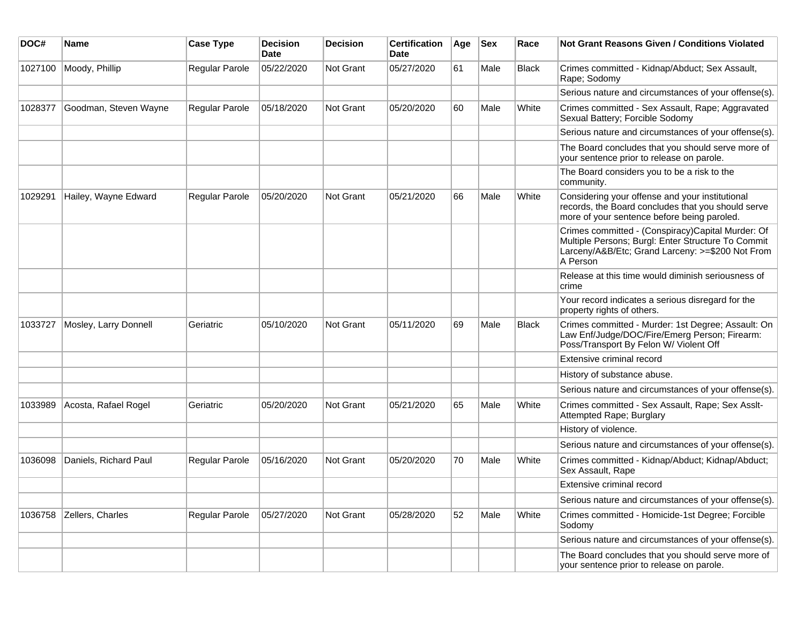| DOC#    | Name                  | <b>Case Type</b>      | <b>Decision</b><br><b>Date</b> | <b>Decision</b> | <b>Certification</b><br>Date | Age | <b>Sex</b> | Race         | <b>Not Grant Reasons Given / Conditions Violated</b>                                                                                                                    |
|---------|-----------------------|-----------------------|--------------------------------|-----------------|------------------------------|-----|------------|--------------|-------------------------------------------------------------------------------------------------------------------------------------------------------------------------|
| 1027100 | Moody, Phillip        | Regular Parole        | 05/22/2020                     | Not Grant       | 05/27/2020                   | 61  | Male       | <b>Black</b> | Crimes committed - Kidnap/Abduct; Sex Assault,<br>Rape; Sodomy                                                                                                          |
|         |                       |                       |                                |                 |                              |     |            |              | Serious nature and circumstances of your offense(s).                                                                                                                    |
| 1028377 | Goodman, Steven Wayne | <b>Regular Parole</b> | 05/18/2020                     | Not Grant       | 05/20/2020                   | 60  | Male       | White        | Crimes committed - Sex Assault, Rape; Aggravated<br>Sexual Battery; Forcible Sodomy                                                                                     |
|         |                       |                       |                                |                 |                              |     |            |              | Serious nature and circumstances of your offense(s).                                                                                                                    |
|         |                       |                       |                                |                 |                              |     |            |              | The Board concludes that you should serve more of<br>your sentence prior to release on parole.                                                                          |
|         |                       |                       |                                |                 |                              |     |            |              | The Board considers you to be a risk to the<br>community.                                                                                                               |
| 1029291 | Hailey, Wayne Edward  | <b>Regular Parole</b> | 05/20/2020                     | Not Grant       | 05/21/2020                   | 66  | Male       | White        | Considering your offense and your institutional<br>records, the Board concludes that you should serve<br>more of your sentence before being paroled.                    |
|         |                       |                       |                                |                 |                              |     |            |              | Crimes committed - (Conspiracy)Capital Murder: Of<br>Multiple Persons; Burgl: Enter Structure To Commit<br>Larceny/A&B/Etc; Grand Larceny: >=\$200 Not From<br>A Person |
|         |                       |                       |                                |                 |                              |     |            |              | Release at this time would diminish seriousness of<br>crime                                                                                                             |
|         |                       |                       |                                |                 |                              |     |            |              | Your record indicates a serious disregard for the<br>property rights of others.                                                                                         |
| 1033727 | Mosley, Larry Donnell | Geriatric             | 05/10/2020                     | Not Grant       | 05/11/2020                   | 69  | Male       | <b>Black</b> | Crimes committed - Murder: 1st Degree; Assault: On<br>Law Enf/Judge/DOC/Fire/Emerg Person; Firearm:<br>Poss/Transport By Felon W/ Violent Off                           |
|         |                       |                       |                                |                 |                              |     |            |              | Extensive criminal record                                                                                                                                               |
|         |                       |                       |                                |                 |                              |     |            |              | History of substance abuse.                                                                                                                                             |
|         |                       |                       |                                |                 |                              |     |            |              | Serious nature and circumstances of your offense(s).                                                                                                                    |
| 1033989 | Acosta, Rafael Rogel  | Geriatric             | 05/20/2020                     | Not Grant       | 05/21/2020                   | 65  | Male       | White        | Crimes committed - Sex Assault, Rape; Sex Asslt-<br>Attempted Rape; Burglary                                                                                            |
|         |                       |                       |                                |                 |                              |     |            |              | History of violence.                                                                                                                                                    |
|         |                       |                       |                                |                 |                              |     |            |              | Serious nature and circumstances of your offense(s).                                                                                                                    |
| 1036098 | Daniels, Richard Paul | <b>Regular Parole</b> | 05/16/2020                     | Not Grant       | 05/20/2020                   | 70  | Male       | White        | Crimes committed - Kidnap/Abduct; Kidnap/Abduct;<br>Sex Assault, Rape                                                                                                   |
|         |                       |                       |                                |                 |                              |     |            |              | Extensive criminal record                                                                                                                                               |
|         |                       |                       |                                |                 |                              |     |            |              | Serious nature and circumstances of your offense(s).                                                                                                                    |
| 1036758 | Zellers, Charles      | Regular Parole        | 05/27/2020                     | Not Grant       | 05/28/2020                   | 52  | Male       | White        | Crimes committed - Homicide-1st Degree; Forcible<br>Sodomy                                                                                                              |
|         |                       |                       |                                |                 |                              |     |            |              | Serious nature and circumstances of your offense(s).                                                                                                                    |
|         |                       |                       |                                |                 |                              |     |            |              | The Board concludes that you should serve more of<br>your sentence prior to release on parole.                                                                          |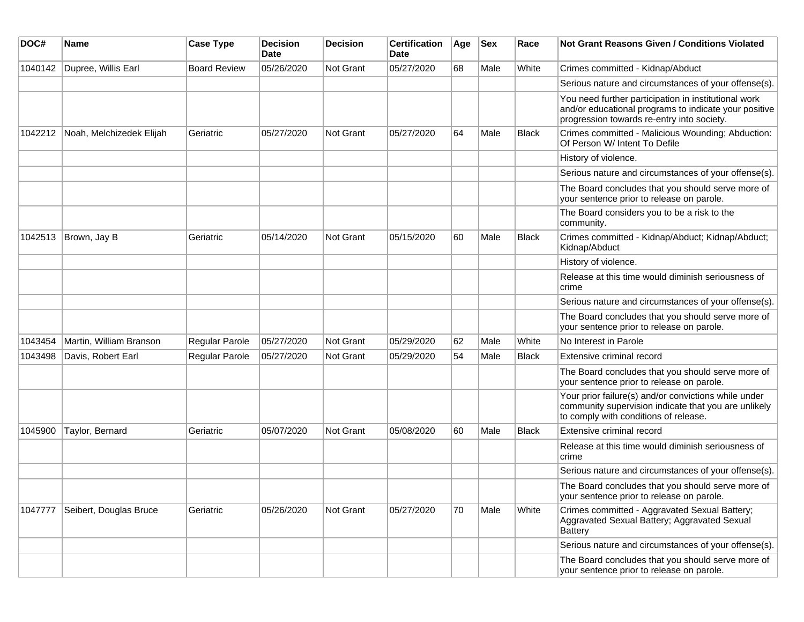| DOC#    | <b>Name</b>              | <b>Case Type</b>    | <b>Decision</b><br><b>Date</b> | <b>Decision</b> | <b>Certification</b><br>Date | Age | <b>Sex</b> | Race         | <b>Not Grant Reasons Given / Conditions Violated</b>                                                                                                        |
|---------|--------------------------|---------------------|--------------------------------|-----------------|------------------------------|-----|------------|--------------|-------------------------------------------------------------------------------------------------------------------------------------------------------------|
| 1040142 | Dupree, Willis Earl      | <b>Board Review</b> | 05/26/2020                     | Not Grant       | 05/27/2020                   | 68  | Male       | White        | Crimes committed - Kidnap/Abduct                                                                                                                            |
|         |                          |                     |                                |                 |                              |     |            |              | Serious nature and circumstances of your offense(s).                                                                                                        |
|         |                          |                     |                                |                 |                              |     |            |              | You need further participation in institutional work<br>and/or educational programs to indicate your positive<br>progression towards re-entry into society. |
| 1042212 | Noah, Melchizedek Elijah | Geriatric           | 05/27/2020                     | Not Grant       | 05/27/2020                   | 64  | Male       | <b>Black</b> | Crimes committed - Malicious Wounding; Abduction:<br>Of Person W/ Intent To Defile                                                                          |
|         |                          |                     |                                |                 |                              |     |            |              | History of violence.                                                                                                                                        |
|         |                          |                     |                                |                 |                              |     |            |              | Serious nature and circumstances of your offense(s).                                                                                                        |
|         |                          |                     |                                |                 |                              |     |            |              | The Board concludes that you should serve more of<br>your sentence prior to release on parole.                                                              |
|         |                          |                     |                                |                 |                              |     |            |              | The Board considers you to be a risk to the<br>community.                                                                                                   |
| 1042513 | Brown, Jay B             | Geriatric           | 05/14/2020                     | Not Grant       | 05/15/2020                   | 60  | Male       | <b>Black</b> | Crimes committed - Kidnap/Abduct; Kidnap/Abduct;<br>Kidnap/Abduct                                                                                           |
|         |                          |                     |                                |                 |                              |     |            |              | History of violence.                                                                                                                                        |
|         |                          |                     |                                |                 |                              |     |            |              | Release at this time would diminish seriousness of<br>crime                                                                                                 |
|         |                          |                     |                                |                 |                              |     |            |              | Serious nature and circumstances of your offense(s).                                                                                                        |
|         |                          |                     |                                |                 |                              |     |            |              | The Board concludes that you should serve more of<br>your sentence prior to release on parole.                                                              |
| 1043454 | Martin, William Branson  | Regular Parole      | 05/27/2020                     | Not Grant       | 05/29/2020                   | 62  | Male       | White        | No Interest in Parole                                                                                                                                       |
| 1043498 | Davis, Robert Earl       | Regular Parole      | 05/27/2020                     | Not Grant       | 05/29/2020                   | 54  | Male       | <b>Black</b> | Extensive criminal record                                                                                                                                   |
|         |                          |                     |                                |                 |                              |     |            |              | The Board concludes that you should serve more of<br>your sentence prior to release on parole.                                                              |
|         |                          |                     |                                |                 |                              |     |            |              | Your prior failure(s) and/or convictions while under<br>community supervision indicate that you are unlikely<br>to comply with conditions of release.       |
| 1045900 | Taylor, Bernard          | Geriatric           | 05/07/2020                     | Not Grant       | 05/08/2020                   | 60  | Male       | <b>Black</b> | Extensive criminal record                                                                                                                                   |
|         |                          |                     |                                |                 |                              |     |            |              | Release at this time would diminish seriousness of<br>crime                                                                                                 |
|         |                          |                     |                                |                 |                              |     |            |              | Serious nature and circumstances of your offense(s).                                                                                                        |
|         |                          |                     |                                |                 |                              |     |            |              | The Board concludes that you should serve more of<br>your sentence prior to release on parole.                                                              |
| 1047777 | Seibert, Douglas Bruce   | Geriatric           | 05/26/2020                     | Not Grant       | 05/27/2020                   | 70  | Male       | White        | Crimes committed - Aggravated Sexual Battery;<br>Aggravated Sexual Battery; Aggravated Sexual<br><b>Battery</b>                                             |
|         |                          |                     |                                |                 |                              |     |            |              | Serious nature and circumstances of your offense(s).                                                                                                        |
|         |                          |                     |                                |                 |                              |     |            |              | The Board concludes that you should serve more of<br>your sentence prior to release on parole.                                                              |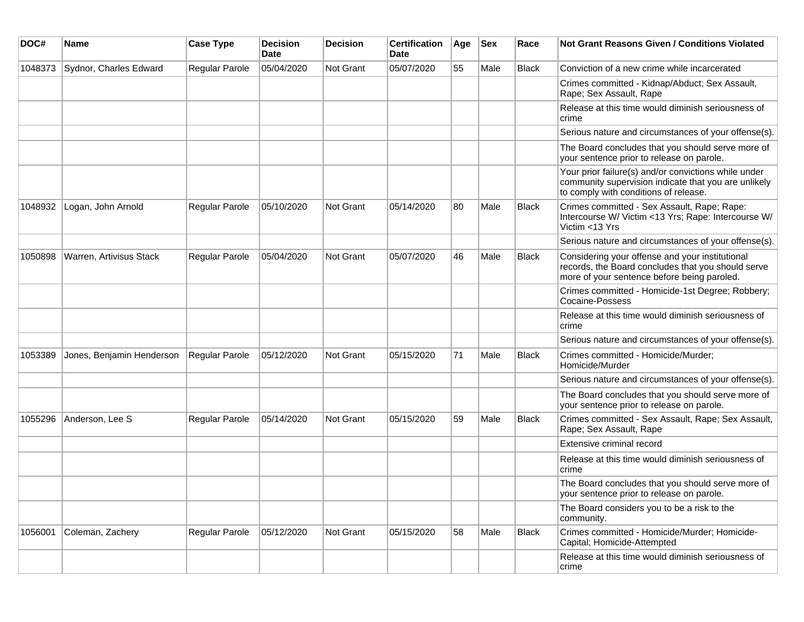| DOC#    | <b>Name</b>               | <b>Case Type</b>      | <b>Decision</b><br><b>Date</b> | <b>Decision</b> | <b>Certification</b><br><b>Date</b> | Age | <b>Sex</b> | Race         | <b>Not Grant Reasons Given / Conditions Violated</b>                                                                                                  |
|---------|---------------------------|-----------------------|--------------------------------|-----------------|-------------------------------------|-----|------------|--------------|-------------------------------------------------------------------------------------------------------------------------------------------------------|
| 1048373 | Sydnor, Charles Edward    | Regular Parole        | 05/04/2020                     | Not Grant       | 05/07/2020                          | 55  | Male       | Black        | Conviction of a new crime while incarcerated                                                                                                          |
|         |                           |                       |                                |                 |                                     |     |            |              | Crimes committed - Kidnap/Abduct; Sex Assault,<br>Rape; Sex Assault, Rape                                                                             |
|         |                           |                       |                                |                 |                                     |     |            |              | Release at this time would diminish seriousness of<br>crime                                                                                           |
|         |                           |                       |                                |                 |                                     |     |            |              | Serious nature and circumstances of your offense(s).                                                                                                  |
|         |                           |                       |                                |                 |                                     |     |            |              | The Board concludes that you should serve more of<br>your sentence prior to release on parole.                                                        |
|         |                           |                       |                                |                 |                                     |     |            |              | Your prior failure(s) and/or convictions while under<br>community supervision indicate that you are unlikely<br>to comply with conditions of release. |
| 1048932 | Logan, John Arnold        | Regular Parole        | 05/10/2020                     | Not Grant       | 05/14/2020                          | 80  | Male       | <b>Black</b> | Crimes committed - Sex Assault, Rape; Rape:<br>Intercourse W/ Victim <13 Yrs; Rape: Intercourse W/<br>Victim <13 Yrs                                  |
|         |                           |                       |                                |                 |                                     |     |            |              | Serious nature and circumstances of your offense(s).                                                                                                  |
| 1050898 | Warren, Artivisus Stack   | <b>Regular Parole</b> | 05/04/2020                     | Not Grant       | 05/07/2020                          | 46  | Male       | <b>Black</b> | Considering your offense and your institutional<br>records, the Board concludes that you should serve<br>more of your sentence before being paroled.  |
|         |                           |                       |                                |                 |                                     |     |            |              | Crimes committed - Homicide-1st Degree; Robbery;<br>Cocaine-Possess                                                                                   |
|         |                           |                       |                                |                 |                                     |     |            |              | Release at this time would diminish seriousness of<br>crime                                                                                           |
|         |                           |                       |                                |                 |                                     |     |            |              | Serious nature and circumstances of your offense(s).                                                                                                  |
| 1053389 | Jones, Benjamin Henderson | Regular Parole        | 05/12/2020                     | Not Grant       | 05/15/2020                          | 71  | Male       | <b>Black</b> | Crimes committed - Homicide/Murder;<br>Homicide/Murder                                                                                                |
|         |                           |                       |                                |                 |                                     |     |            |              | Serious nature and circumstances of your offense(s).                                                                                                  |
|         |                           |                       |                                |                 |                                     |     |            |              | The Board concludes that you should serve more of<br>your sentence prior to release on parole.                                                        |
| 1055296 | Anderson, Lee S           | <b>Regular Parole</b> | 05/14/2020                     | Not Grant       | 05/15/2020                          | 59  | Male       | <b>Black</b> | Crimes committed - Sex Assault, Rape; Sex Assault,<br>Rape; Sex Assault, Rape                                                                         |
|         |                           |                       |                                |                 |                                     |     |            |              | Extensive criminal record                                                                                                                             |
|         |                           |                       |                                |                 |                                     |     |            |              | Release at this time would diminish seriousness of<br>crime                                                                                           |
|         |                           |                       |                                |                 |                                     |     |            |              | The Board concludes that you should serve more of<br>your sentence prior to release on parole.                                                        |
|         |                           |                       |                                |                 |                                     |     |            |              | The Board considers you to be a risk to the<br>community.                                                                                             |
| 1056001 | Coleman, Zachery          | Regular Parole        | 05/12/2020                     | Not Grant       | 05/15/2020                          | 58  | Male       | Black        | Crimes committed - Homicide/Murder; Homicide-<br>Capital; Homicide-Attempted                                                                          |
|         |                           |                       |                                |                 |                                     |     |            |              | Release at this time would diminish seriousness of<br>crime                                                                                           |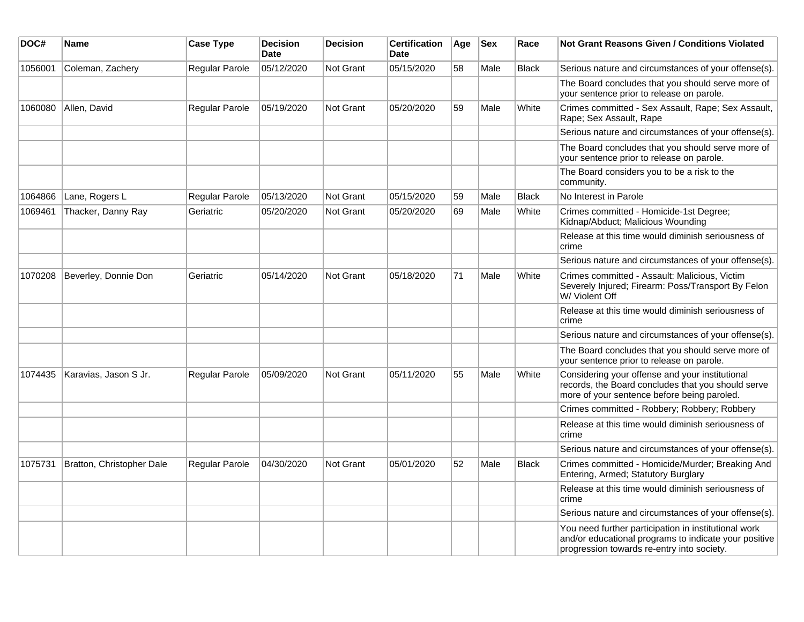| DOC#    | Name                      | <b>Case Type</b>      | <b>Decision</b><br><b>Date</b> | <b>Decision</b> | <b>Certification</b><br>Date | Age | <b>Sex</b> | Race         | Not Grant Reasons Given / Conditions Violated                                                                                                               |
|---------|---------------------------|-----------------------|--------------------------------|-----------------|------------------------------|-----|------------|--------------|-------------------------------------------------------------------------------------------------------------------------------------------------------------|
| 1056001 | Coleman, Zachery          | Regular Parole        | 05/12/2020                     | Not Grant       | 05/15/2020                   | 58  | Male       | <b>Black</b> | Serious nature and circumstances of your offense(s).                                                                                                        |
|         |                           |                       |                                |                 |                              |     |            |              | The Board concludes that you should serve more of<br>your sentence prior to release on parole.                                                              |
| 1060080 | Allen, David              | Regular Parole        | 05/19/2020                     | Not Grant       | 05/20/2020                   | 59  | Male       | White        | Crimes committed - Sex Assault, Rape; Sex Assault,<br>Rape; Sex Assault, Rape                                                                               |
|         |                           |                       |                                |                 |                              |     |            |              | Serious nature and circumstances of your offense(s).                                                                                                        |
|         |                           |                       |                                |                 |                              |     |            |              | The Board concludes that you should serve more of<br>your sentence prior to release on parole.                                                              |
|         |                           |                       |                                |                 |                              |     |            |              | The Board considers you to be a risk to the<br>community.                                                                                                   |
| 1064866 | Lane, Rogers L            | <b>Regular Parole</b> | 05/13/2020                     | Not Grant       | 05/15/2020                   | 59  | Male       | <b>Black</b> | No Interest in Parole                                                                                                                                       |
| 1069461 | Thacker, Danny Ray        | Geriatric             | 05/20/2020                     | Not Grant       | 05/20/2020                   | 69  | Male       | White        | Crimes committed - Homicide-1st Degree;<br>Kidnap/Abduct; Malicious Wounding                                                                                |
|         |                           |                       |                                |                 |                              |     |            |              | Release at this time would diminish seriousness of<br>crime                                                                                                 |
|         |                           |                       |                                |                 |                              |     |            |              | Serious nature and circumstances of your offense(s).                                                                                                        |
| 1070208 | Beverley, Donnie Don      | Geriatric             | 05/14/2020                     | Not Grant       | 05/18/2020                   | 71  | Male       | White        | Crimes committed - Assault: Malicious, Victim<br>Severely Injured; Firearm: Poss/Transport By Felon<br>W/ Violent Off                                       |
|         |                           |                       |                                |                 |                              |     |            |              | Release at this time would diminish seriousness of<br>crime                                                                                                 |
|         |                           |                       |                                |                 |                              |     |            |              | Serious nature and circumstances of your offense(s).                                                                                                        |
|         |                           |                       |                                |                 |                              |     |            |              | The Board concludes that you should serve more of<br>your sentence prior to release on parole.                                                              |
| 1074435 | Karavias, Jason S Jr.     | Regular Parole        | 05/09/2020                     | Not Grant       | 05/11/2020                   | 55  | Male       | White        | Considering your offense and your institutional<br>records, the Board concludes that you should serve<br>more of your sentence before being paroled.        |
|         |                           |                       |                                |                 |                              |     |            |              | Crimes committed - Robbery; Robbery; Robbery                                                                                                                |
|         |                           |                       |                                |                 |                              |     |            |              | Release at this time would diminish seriousness of<br>crime                                                                                                 |
|         |                           |                       |                                |                 |                              |     |            |              | Serious nature and circumstances of your offense(s).                                                                                                        |
| 1075731 | Bratton, Christopher Dale | <b>Regular Parole</b> | 04/30/2020                     | Not Grant       | 05/01/2020                   | 52  | Male       | <b>Black</b> | Crimes committed - Homicide/Murder; Breaking And<br>Entering, Armed; Statutory Burglary                                                                     |
|         |                           |                       |                                |                 |                              |     |            |              | Release at this time would diminish seriousness of<br>crime                                                                                                 |
|         |                           |                       |                                |                 |                              |     |            |              | Serious nature and circumstances of your offense(s).                                                                                                        |
|         |                           |                       |                                |                 |                              |     |            |              | You need further participation in institutional work<br>and/or educational programs to indicate your positive<br>progression towards re-entry into society. |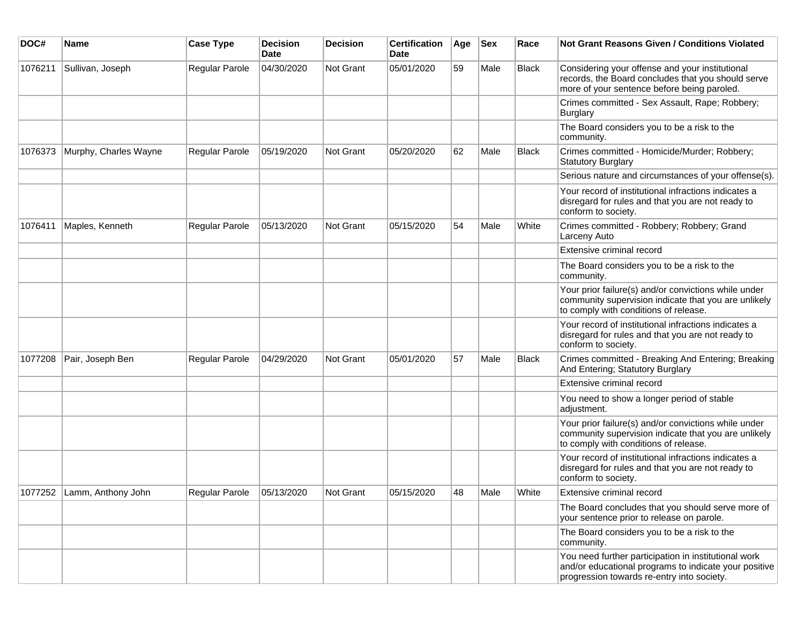| DOC#    | <b>Name</b>                | <b>Case Type</b>            | <b>Decision</b><br>Date | <b>Decision</b>  | <b>Certification</b><br>Date | Age | <b>Sex</b> | Race         | <b>Not Grant Reasons Given / Conditions Violated</b>                                                                                                        |
|---------|----------------------------|-----------------------------|-------------------------|------------------|------------------------------|-----|------------|--------------|-------------------------------------------------------------------------------------------------------------------------------------------------------------|
| 1076211 | Sullivan, Joseph           | Regular Parole              | 04/30/2020              | <b>Not Grant</b> | 05/01/2020                   | 59  | Male       | <b>Black</b> | Considering your offense and your institutional<br>records, the Board concludes that you should serve<br>more of your sentence before being paroled.        |
|         |                            |                             |                         |                  |                              |     |            |              | Crimes committed - Sex Assault, Rape; Robbery;<br><b>Burglary</b>                                                                                           |
|         |                            |                             |                         |                  |                              |     |            |              | The Board considers you to be a risk to the<br>community.                                                                                                   |
| 1076373 | Murphy, Charles Wayne      | Regular Parole              | 05/19/2020              | Not Grant        | 05/20/2020                   | 62  | Male       | <b>Black</b> | Crimes committed - Homicide/Murder; Robbery;<br><b>Statutory Burglary</b>                                                                                   |
|         |                            |                             |                         |                  |                              |     |            |              | Serious nature and circumstances of your offense(s).                                                                                                        |
|         |                            |                             |                         |                  |                              |     |            |              | Your record of institutional infractions indicates a<br>disregard for rules and that you are not ready to<br>conform to society.                            |
| 1076411 | Maples, Kenneth            | Regular Parole              | 05/13/2020              | Not Grant        | 05/15/2020                   | 54  | Male       | White        | Crimes committed - Robbery; Robbery; Grand<br>Larceny Auto                                                                                                  |
|         |                            |                             |                         |                  |                              |     |            |              | Extensive criminal record                                                                                                                                   |
|         |                            |                             |                         |                  |                              |     |            |              | The Board considers you to be a risk to the<br>community.                                                                                                   |
|         |                            |                             |                         |                  |                              |     |            |              | Your prior failure(s) and/or convictions while under<br>community supervision indicate that you are unlikely<br>to comply with conditions of release.       |
|         |                            |                             |                         |                  |                              |     |            |              | Your record of institutional infractions indicates a<br>disregard for rules and that you are not ready to<br>conform to society.                            |
| 1077208 | Pair, Joseph Ben           | Regular Parole              | 04/29/2020              | <b>Not Grant</b> | 05/01/2020                   | 57  | Male       | <b>Black</b> | Crimes committed - Breaking And Entering; Breaking<br>And Entering; Statutory Burglary                                                                      |
|         |                            |                             |                         |                  |                              |     |            |              | Extensive criminal record                                                                                                                                   |
|         |                            |                             |                         |                  |                              |     |            |              | You need to show a longer period of stable<br>adjustment.                                                                                                   |
|         |                            |                             |                         |                  |                              |     |            |              | Your prior failure(s) and/or convictions while under<br>community supervision indicate that you are unlikely<br>to comply with conditions of release.       |
|         |                            |                             |                         |                  |                              |     |            |              | Your record of institutional infractions indicates a<br>disregard for rules and that you are not ready to<br>conform to society.                            |
|         | 1077252 Lamm, Anthony John | Regular Parole   05/13/2020 |                         | Not Grant        | 05/15/2020                   | 48  | Male       | White        | Extensive criminal record                                                                                                                                   |
|         |                            |                             |                         |                  |                              |     |            |              | The Board concludes that you should serve more of<br>your sentence prior to release on parole.                                                              |
|         |                            |                             |                         |                  |                              |     |            |              | The Board considers you to be a risk to the<br>community.                                                                                                   |
|         |                            |                             |                         |                  |                              |     |            |              | You need further participation in institutional work<br>and/or educational programs to indicate your positive<br>progression towards re-entry into society. |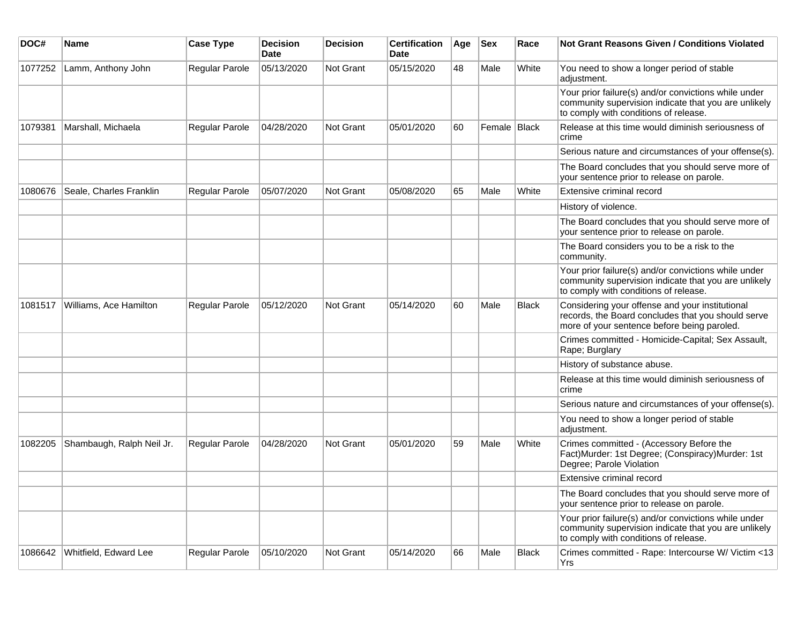| DOC#    | <b>Name</b>               | <b>Case Type</b> | <b>Decision</b><br><b>Date</b> | <b>Decision</b>  | <b>Certification</b><br><b>Date</b> | Age | <b>Sex</b>   | Race         | <b>Not Grant Reasons Given / Conditions Violated</b>                                                                                                  |
|---------|---------------------------|------------------|--------------------------------|------------------|-------------------------------------|-----|--------------|--------------|-------------------------------------------------------------------------------------------------------------------------------------------------------|
| 1077252 | Lamm, Anthony John        | Regular Parole   | 05/13/2020                     | <b>Not Grant</b> | 05/15/2020                          | 48  | Male         | White        | You need to show a longer period of stable<br>adjustment.                                                                                             |
|         |                           |                  |                                |                  |                                     |     |              |              | Your prior failure(s) and/or convictions while under<br>community supervision indicate that you are unlikely<br>to comply with conditions of release. |
| 1079381 | Marshall, Michaela        | Regular Parole   | 04/28/2020                     | Not Grant        | 05/01/2020                          | 60  | Female Black |              | Release at this time would diminish seriousness of<br>crime                                                                                           |
|         |                           |                  |                                |                  |                                     |     |              |              | Serious nature and circumstances of your offense(s).                                                                                                  |
|         |                           |                  |                                |                  |                                     |     |              |              | The Board concludes that you should serve more of<br>your sentence prior to release on parole.                                                        |
| 1080676 | Seale, Charles Franklin   | Regular Parole   | 05/07/2020                     | <b>Not Grant</b> | 05/08/2020                          | 65  | Male         | White        | Extensive criminal record                                                                                                                             |
|         |                           |                  |                                |                  |                                     |     |              |              | History of violence.                                                                                                                                  |
|         |                           |                  |                                |                  |                                     |     |              |              | The Board concludes that you should serve more of<br>your sentence prior to release on parole.                                                        |
|         |                           |                  |                                |                  |                                     |     |              |              | The Board considers you to be a risk to the<br>community.                                                                                             |
|         |                           |                  |                                |                  |                                     |     |              |              | Your prior failure(s) and/or convictions while under<br>community supervision indicate that you are unlikely<br>to comply with conditions of release. |
| 1081517 | Williams, Ace Hamilton    | Regular Parole   | 05/12/2020                     | Not Grant        | 05/14/2020                          | 60  | Male         | <b>Black</b> | Considering your offense and your institutional<br>records, the Board concludes that you should serve<br>more of your sentence before being paroled.  |
|         |                           |                  |                                |                  |                                     |     |              |              | Crimes committed - Homicide-Capital; Sex Assault,<br>Rape; Burglary                                                                                   |
|         |                           |                  |                                |                  |                                     |     |              |              | History of substance abuse.                                                                                                                           |
|         |                           |                  |                                |                  |                                     |     |              |              | Release at this time would diminish seriousness of<br>crime                                                                                           |
|         |                           |                  |                                |                  |                                     |     |              |              | Serious nature and circumstances of your offense(s).                                                                                                  |
|         |                           |                  |                                |                  |                                     |     |              |              | You need to show a longer period of stable<br>adjustment.                                                                                             |
| 1082205 | Shambaugh, Ralph Neil Jr. | Regular Parole   | 04/28/2020                     | Not Grant        | 05/01/2020                          | 59  | Male         | White        | Crimes committed - (Accessory Before the<br>Fact)Murder: 1st Degree; (Conspiracy)Murder: 1st<br>Degree; Parole Violation                              |
|         |                           |                  |                                |                  |                                     |     |              |              | Extensive criminal record                                                                                                                             |
|         |                           |                  |                                |                  |                                     |     |              |              | The Board concludes that you should serve more of<br>your sentence prior to release on parole.                                                        |
|         |                           |                  |                                |                  |                                     |     |              |              | Your prior failure(s) and/or convictions while under<br>community supervision indicate that you are unlikely<br>to comply with conditions of release. |
| 1086642 | Whitfield, Edward Lee     | Regular Parole   | 05/10/2020                     | <b>Not Grant</b> | 05/14/2020                          | 66  | Male         | Black        | Crimes committed - Rape: Intercourse W/ Victim <13<br>Yrs                                                                                             |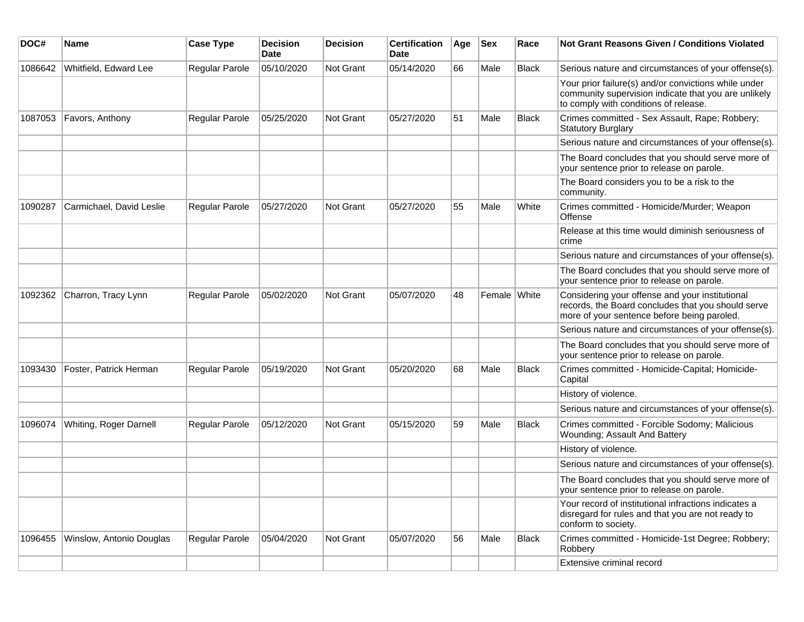| DOC#    | Name                     | <b>Case Type</b>      | <b>Decision</b><br><b>Date</b> | <b>Decision</b> | <b>Certification</b><br>Date | Age | <b>Sex</b>   | Race         | <b>Not Grant Reasons Given / Conditions Violated</b>                                                                                                  |
|---------|--------------------------|-----------------------|--------------------------------|-----------------|------------------------------|-----|--------------|--------------|-------------------------------------------------------------------------------------------------------------------------------------------------------|
| 1086642 | Whitfield, Edward Lee    | Regular Parole        | 05/10/2020                     | Not Grant       | 05/14/2020                   | 66  | Male         | <b>Black</b> | Serious nature and circumstances of your offense(s).                                                                                                  |
|         |                          |                       |                                |                 |                              |     |              |              | Your prior failure(s) and/or convictions while under<br>community supervision indicate that you are unlikely<br>to comply with conditions of release. |
| 1087053 | Favors, Anthony          | Regular Parole        | 05/25/2020                     | Not Grant       | 05/27/2020                   | 51  | Male         | <b>Black</b> | Crimes committed - Sex Assault, Rape; Robbery;<br><b>Statutory Burglary</b>                                                                           |
|         |                          |                       |                                |                 |                              |     |              |              | Serious nature and circumstances of your offense(s).                                                                                                  |
|         |                          |                       |                                |                 |                              |     |              |              | The Board concludes that you should serve more of<br>your sentence prior to release on parole.                                                        |
|         |                          |                       |                                |                 |                              |     |              |              | The Board considers you to be a risk to the<br>community.                                                                                             |
| 1090287 | Carmichael, David Leslie | Regular Parole        | 05/27/2020                     | Not Grant       | 05/27/2020                   | 55  | Male         | White        | Crimes committed - Homicide/Murder; Weapon<br>Offense                                                                                                 |
|         |                          |                       |                                |                 |                              |     |              |              | Release at this time would diminish seriousness of<br>crime                                                                                           |
|         |                          |                       |                                |                 |                              |     |              |              | Serious nature and circumstances of your offense(s).                                                                                                  |
|         |                          |                       |                                |                 |                              |     |              |              | The Board concludes that you should serve more of<br>your sentence prior to release on parole.                                                        |
| 1092362 | Charron, Tracy Lynn      | <b>Regular Parole</b> | 05/02/2020                     | Not Grant       | 05/07/2020                   | 48  | Female White |              | Considering your offense and your institutional<br>records, the Board concludes that you should serve<br>more of your sentence before being paroled.  |
|         |                          |                       |                                |                 |                              |     |              |              | Serious nature and circumstances of your offense(s).                                                                                                  |
|         |                          |                       |                                |                 |                              |     |              |              | The Board concludes that you should serve more of<br>your sentence prior to release on parole.                                                        |
| 1093430 | Foster, Patrick Herman   | Regular Parole        | 05/19/2020                     | Not Grant       | 05/20/2020                   | 68  | Male         | <b>Black</b> | Crimes committed - Homicide-Capital; Homicide-<br>Capital                                                                                             |
|         |                          |                       |                                |                 |                              |     |              |              | History of violence.                                                                                                                                  |
|         |                          |                       |                                |                 |                              |     |              |              | Serious nature and circumstances of your offense(s).                                                                                                  |
| 1096074 | Whiting, Roger Darnell   | Regular Parole        | 05/12/2020                     | Not Grant       | 05/15/2020                   | 59  | Male         | Black        | Crimes committed - Forcible Sodomy; Malicious<br>Wounding; Assault And Battery                                                                        |
|         |                          |                       |                                |                 |                              |     |              |              | History of violence.                                                                                                                                  |
|         |                          |                       |                                |                 |                              |     |              |              | Serious nature and circumstances of your offense(s).                                                                                                  |
|         |                          |                       |                                |                 |                              |     |              |              | The Board concludes that you should serve more of<br>your sentence prior to release on parole.                                                        |
|         |                          |                       |                                |                 |                              |     |              |              | Your record of institutional infractions indicates a<br>disregard for rules and that you are not ready to<br>conform to society.                      |
| 1096455 | Winslow, Antonio Douglas | Regular Parole        | 05/04/2020                     | Not Grant       | 05/07/2020                   | 56  | Male         | <b>Black</b> | Crimes committed - Homicide-1st Degree; Robbery;<br>Robbery                                                                                           |
|         |                          |                       |                                |                 |                              |     |              |              | Extensive criminal record                                                                                                                             |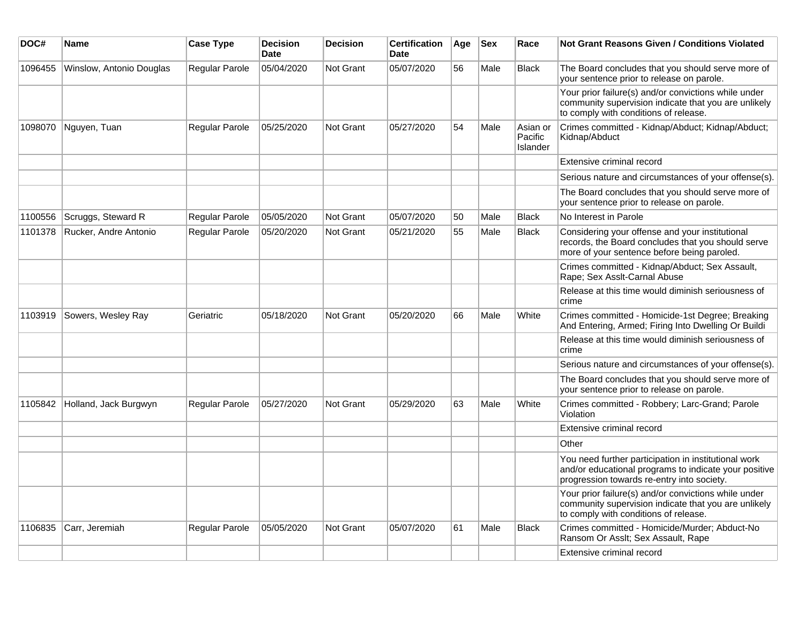| DOC#    | <b>Name</b>              | <b>Case Type</b>      | <b>Decision</b><br><b>Date</b> | <b>Decision</b>  | <b>Certification</b><br>Date | Age | <b>Sex</b> | Race                            | Not Grant Reasons Given / Conditions Violated                                                                                                               |
|---------|--------------------------|-----------------------|--------------------------------|------------------|------------------------------|-----|------------|---------------------------------|-------------------------------------------------------------------------------------------------------------------------------------------------------------|
| 1096455 | Winslow, Antonio Douglas | Regular Parole        | 05/04/2020                     | <b>Not Grant</b> | 05/07/2020                   | 56  | Male       | <b>Black</b>                    | The Board concludes that you should serve more of<br>your sentence prior to release on parole.                                                              |
|         |                          |                       |                                |                  |                              |     |            |                                 | Your prior failure(s) and/or convictions while under<br>community supervision indicate that you are unlikely<br>to comply with conditions of release.       |
| 1098070 | Nguyen, Tuan             | Regular Parole        | 05/25/2020                     | Not Grant        | 05/27/2020                   | 54  | Male       | Asian or<br>Pacific<br>Islander | Crimes committed - Kidnap/Abduct; Kidnap/Abduct;<br>Kidnap/Abduct                                                                                           |
|         |                          |                       |                                |                  |                              |     |            |                                 | Extensive criminal record                                                                                                                                   |
|         |                          |                       |                                |                  |                              |     |            |                                 | Serious nature and circumstances of your offense(s).                                                                                                        |
|         |                          |                       |                                |                  |                              |     |            |                                 | The Board concludes that you should serve more of<br>your sentence prior to release on parole.                                                              |
| 1100556 | Scruggs, Steward R       | <b>Regular Parole</b> | 05/05/2020                     | <b>Not Grant</b> | 05/07/2020                   | 50  | Male       | <b>Black</b>                    | No Interest in Parole                                                                                                                                       |
| 1101378 | Rucker, Andre Antonio    | Regular Parole        | 05/20/2020                     | <b>Not Grant</b> | 05/21/2020                   | 55  | Male       | <b>Black</b>                    | Considering your offense and your institutional<br>records, the Board concludes that you should serve<br>more of your sentence before being paroled.        |
|         |                          |                       |                                |                  |                              |     |            |                                 | Crimes committed - Kidnap/Abduct; Sex Assault,<br>Rape; Sex Asslt-Carnal Abuse                                                                              |
|         |                          |                       |                                |                  |                              |     |            |                                 | Release at this time would diminish seriousness of<br>crime                                                                                                 |
| 1103919 | Sowers, Wesley Ray       | Geriatric             | 05/18/2020                     | <b>Not Grant</b> | 05/20/2020                   | 66  | Male       | White                           | Crimes committed - Homicide-1st Degree; Breaking<br>And Entering, Armed; Firing Into Dwelling Or Buildi                                                     |
|         |                          |                       |                                |                  |                              |     |            |                                 | Release at this time would diminish seriousness of<br>crime                                                                                                 |
|         |                          |                       |                                |                  |                              |     |            |                                 | Serious nature and circumstances of your offense(s).                                                                                                        |
|         |                          |                       |                                |                  |                              |     |            |                                 | The Board concludes that you should serve more of<br>your sentence prior to release on parole.                                                              |
| 1105842 | Holland, Jack Burgwyn    | Regular Parole        | 05/27/2020                     | <b>Not Grant</b> | 05/29/2020                   | 63  | Male       | White                           | Crimes committed - Robbery; Larc-Grand; Parole<br>Violation                                                                                                 |
|         |                          |                       |                                |                  |                              |     |            |                                 | Extensive criminal record                                                                                                                                   |
|         |                          |                       |                                |                  |                              |     |            |                                 | Other                                                                                                                                                       |
|         |                          |                       |                                |                  |                              |     |            |                                 | You need further participation in institutional work<br>and/or educational programs to indicate your positive<br>progression towards re-entry into society. |
|         |                          |                       |                                |                  |                              |     |            |                                 | Your prior failure(s) and/or convictions while under<br>community supervision indicate that you are unlikely<br>to comply with conditions of release.       |
| 1106835 | Carr, Jeremiah           | Regular Parole        | 05/05/2020                     | <b>Not Grant</b> | 05/07/2020                   | 61  | Male       | <b>Black</b>                    | Crimes committed - Homicide/Murder; Abduct-No<br>Ransom Or Asslt; Sex Assault, Rape                                                                         |
|         |                          |                       |                                |                  |                              |     |            |                                 | Extensive criminal record                                                                                                                                   |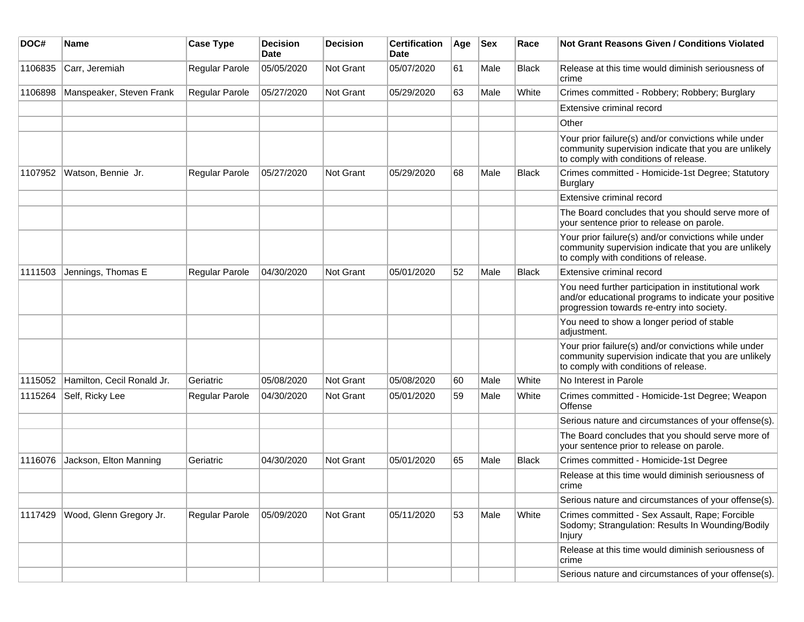| DOC#    | Name                       | <b>Case Type</b>      | <b>Decision</b><br><b>Date</b> | <b>Decision</b> | <b>Certification</b><br>Date | Age | <b>Sex</b> | Race         | Not Grant Reasons Given / Conditions Violated                                                                                                               |
|---------|----------------------------|-----------------------|--------------------------------|-----------------|------------------------------|-----|------------|--------------|-------------------------------------------------------------------------------------------------------------------------------------------------------------|
| 1106835 | Carr, Jeremiah             | Regular Parole        | 05/05/2020                     | Not Grant       | 05/07/2020                   | 61  | Male       | <b>Black</b> | Release at this time would diminish seriousness of<br>crime                                                                                                 |
| 1106898 | Manspeaker, Steven Frank   | Regular Parole        | 05/27/2020                     | Not Grant       | 05/29/2020                   | 63  | Male       | White        | Crimes committed - Robbery; Robbery; Burglary                                                                                                               |
|         |                            |                       |                                |                 |                              |     |            |              | Extensive criminal record                                                                                                                                   |
|         |                            |                       |                                |                 |                              |     |            |              | Other                                                                                                                                                       |
|         |                            |                       |                                |                 |                              |     |            |              | Your prior failure(s) and/or convictions while under<br>community supervision indicate that you are unlikely<br>to comply with conditions of release.       |
| 1107952 | Watson, Bennie Jr.         | <b>Regular Parole</b> | 05/27/2020                     | Not Grant       | 05/29/2020                   | 68  | Male       | <b>Black</b> | Crimes committed - Homicide-1st Degree; Statutory<br><b>Burglary</b>                                                                                        |
|         |                            |                       |                                |                 |                              |     |            |              | Extensive criminal record                                                                                                                                   |
|         |                            |                       |                                |                 |                              |     |            |              | The Board concludes that you should serve more of<br>your sentence prior to release on parole.                                                              |
|         |                            |                       |                                |                 |                              |     |            |              | Your prior failure(s) and/or convictions while under<br>community supervision indicate that you are unlikely<br>to comply with conditions of release.       |
| 1111503 | Jennings, Thomas E         | Regular Parole        | 04/30/2020                     | Not Grant       | 05/01/2020                   | 52  | Male       | <b>Black</b> | Extensive criminal record                                                                                                                                   |
|         |                            |                       |                                |                 |                              |     |            |              | You need further participation in institutional work<br>and/or educational programs to indicate your positive<br>progression towards re-entry into society. |
|         |                            |                       |                                |                 |                              |     |            |              | You need to show a longer period of stable<br>adjustment.                                                                                                   |
|         |                            |                       |                                |                 |                              |     |            |              | Your prior failure(s) and/or convictions while under<br>community supervision indicate that you are unlikely<br>to comply with conditions of release.       |
| 1115052 | Hamilton, Cecil Ronald Jr. | Geriatric             | 05/08/2020                     | Not Grant       | 05/08/2020                   | 60  | Male       | White        | No Interest in Parole                                                                                                                                       |
| 1115264 | Self, Ricky Lee            | Regular Parole        | 04/30/2020                     | Not Grant       | 05/01/2020                   | 59  | Male       | White        | Crimes committed - Homicide-1st Degree; Weapon<br>Offense                                                                                                   |
|         |                            |                       |                                |                 |                              |     |            |              | Serious nature and circumstances of your offense(s).                                                                                                        |
|         |                            |                       |                                |                 |                              |     |            |              | The Board concludes that you should serve more of<br>your sentence prior to release on parole.                                                              |
| 1116076 | Jackson, Elton Manning     | Geriatric             | 04/30/2020                     | Not Grant       | 05/01/2020                   | 65  | Male       | <b>Black</b> | Crimes committed - Homicide-1st Degree                                                                                                                      |
|         |                            |                       |                                |                 |                              |     |            |              | Release at this time would diminish seriousness of<br>crime                                                                                                 |
|         |                            |                       |                                |                 |                              |     |            |              | Serious nature and circumstances of your offense(s).                                                                                                        |
| 1117429 | Wood, Glenn Gregory Jr.    | Regular Parole        | 05/09/2020                     | Not Grant       | 05/11/2020                   | 53  | Male       | White        | Crimes committed - Sex Assault, Rape; Forcible<br>Sodomy; Strangulation: Results In Wounding/Bodily<br>Injury                                               |
|         |                            |                       |                                |                 |                              |     |            |              | Release at this time would diminish seriousness of<br>crime                                                                                                 |
|         |                            |                       |                                |                 |                              |     |            |              | Serious nature and circumstances of your offense(s).                                                                                                        |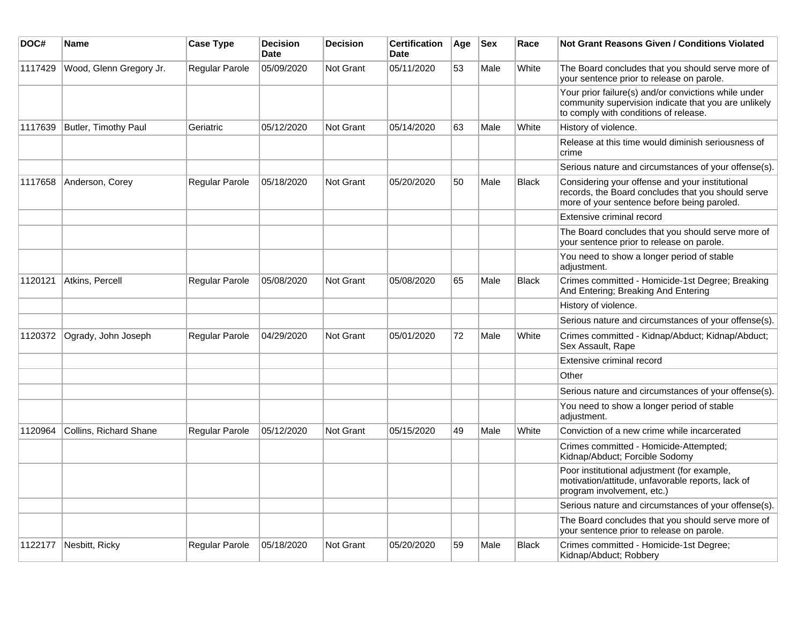| DOC#    | Name                    | <b>Case Type</b>      | <b>Decision</b><br><b>Date</b> | <b>Decision</b>  | <b>Certification</b><br><b>Date</b> | Age | <b>Sex</b> | Race         | <b>Not Grant Reasons Given / Conditions Violated</b>                                                                                                  |
|---------|-------------------------|-----------------------|--------------------------------|------------------|-------------------------------------|-----|------------|--------------|-------------------------------------------------------------------------------------------------------------------------------------------------------|
| 1117429 | Wood, Glenn Gregory Jr. | <b>Regular Parole</b> | 05/09/2020                     | Not Grant        | 05/11/2020                          | 53  | Male       | White        | The Board concludes that you should serve more of<br>your sentence prior to release on parole.                                                        |
|         |                         |                       |                                |                  |                                     |     |            |              | Your prior failure(s) and/or convictions while under<br>community supervision indicate that you are unlikely<br>to comply with conditions of release. |
| 1117639 | Butler, Timothy Paul    | Geriatric             | 05/12/2020                     | <b>Not Grant</b> | 05/14/2020                          | 63  | Male       | White        | History of violence.                                                                                                                                  |
|         |                         |                       |                                |                  |                                     |     |            |              | Release at this time would diminish seriousness of<br>crime                                                                                           |
|         |                         |                       |                                |                  |                                     |     |            |              | Serious nature and circumstances of your offense(s).                                                                                                  |
| 1117658 | Anderson, Corey         | Regular Parole        | 05/18/2020                     | Not Grant        | 05/20/2020                          | 50  | Male       | <b>Black</b> | Considering your offense and your institutional<br>records, the Board concludes that you should serve<br>more of your sentence before being paroled.  |
|         |                         |                       |                                |                  |                                     |     |            |              | Extensive criminal record                                                                                                                             |
|         |                         |                       |                                |                  |                                     |     |            |              | The Board concludes that you should serve more of<br>your sentence prior to release on parole.                                                        |
|         |                         |                       |                                |                  |                                     |     |            |              | You need to show a longer period of stable<br>adjustment.                                                                                             |
| 1120121 | Atkins, Percell         | Regular Parole        | 05/08/2020                     | <b>Not Grant</b> | 05/08/2020                          | 65  | Male       | <b>Black</b> | Crimes committed - Homicide-1st Degree; Breaking<br>And Entering; Breaking And Entering                                                               |
|         |                         |                       |                                |                  |                                     |     |            |              | History of violence.                                                                                                                                  |
|         |                         |                       |                                |                  |                                     |     |            |              | Serious nature and circumstances of your offense(s).                                                                                                  |
| 1120372 | Ogrady, John Joseph     | Regular Parole        | 04/29/2020                     | <b>Not Grant</b> | 05/01/2020                          | 72  | Male       | White        | Crimes committed - Kidnap/Abduct; Kidnap/Abduct;<br>Sex Assault, Rape                                                                                 |
|         |                         |                       |                                |                  |                                     |     |            |              | Extensive criminal record                                                                                                                             |
|         |                         |                       |                                |                  |                                     |     |            |              | Other                                                                                                                                                 |
|         |                         |                       |                                |                  |                                     |     |            |              | Serious nature and circumstances of your offense(s).                                                                                                  |
|         |                         |                       |                                |                  |                                     |     |            |              | You need to show a longer period of stable<br>adjustment.                                                                                             |
| 1120964 | Collins, Richard Shane  | Regular Parole        | 05/12/2020                     | Not Grant        | 05/15/2020                          | 49  | Male       | White        | Conviction of a new crime while incarcerated                                                                                                          |
|         |                         |                       |                                |                  |                                     |     |            |              | Crimes committed - Homicide-Attempted;<br>Kidnap/Abduct; Forcible Sodomy                                                                              |
|         |                         |                       |                                |                  |                                     |     |            |              | Poor institutional adjustment (for example,<br>motivation/attitude, unfavorable reports, lack of<br>program involvement, etc.)                        |
|         |                         |                       |                                |                  |                                     |     |            |              | Serious nature and circumstances of your offense(s).                                                                                                  |
|         |                         |                       |                                |                  |                                     |     |            |              | The Board concludes that you should serve more of<br>your sentence prior to release on parole.                                                        |
| 1122177 | Nesbitt, Ricky          | <b>Regular Parole</b> | 05/18/2020                     | Not Grant        | 05/20/2020                          | 59  | Male       | <b>Black</b> | Crimes committed - Homicide-1st Degree;<br>Kidnap/Abduct; Robbery                                                                                     |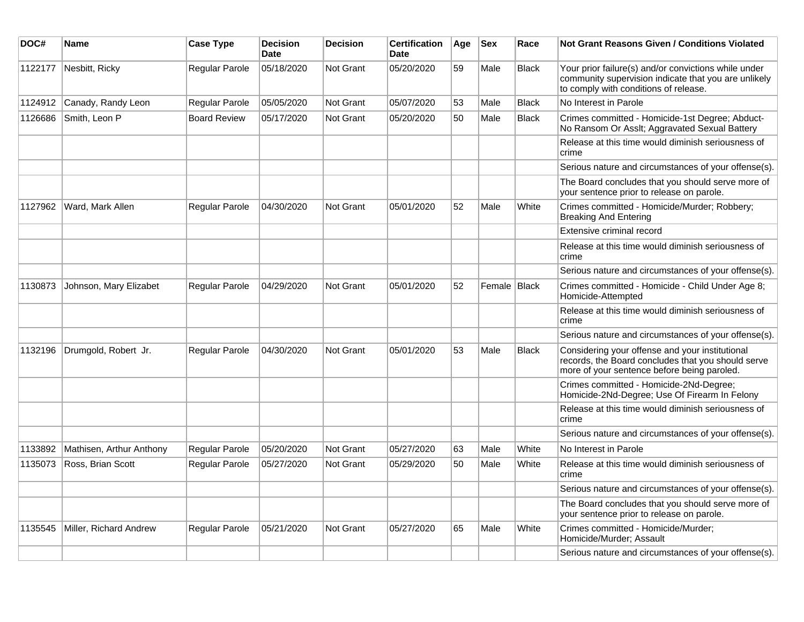| DOC#    | Name                     | <b>Case Type</b>    | <b>Decision</b><br><b>Date</b> | <b>Decision</b>  | <b>Certification</b><br><b>Date</b> | Age | <b>Sex</b>   | Race         | Not Grant Reasons Given / Conditions Violated                                                                                                         |
|---------|--------------------------|---------------------|--------------------------------|------------------|-------------------------------------|-----|--------------|--------------|-------------------------------------------------------------------------------------------------------------------------------------------------------|
| 1122177 | Nesbitt, Ricky           | Regular Parole      | 05/18/2020                     | Not Grant        | 05/20/2020                          | 59  | Male         | <b>Black</b> | Your prior failure(s) and/or convictions while under<br>community supervision indicate that you are unlikely<br>to comply with conditions of release. |
| 1124912 | Canady, Randy Leon       | Regular Parole      | 05/05/2020                     | Not Grant        | 05/07/2020                          | 53  | Male         | <b>Black</b> | No Interest in Parole                                                                                                                                 |
| 1126686 | Smith, Leon P            | <b>Board Review</b> | 05/17/2020                     | Not Grant        | 05/20/2020                          | 50  | Male         | Black        | Crimes committed - Homicide-1st Degree; Abduct-<br>No Ransom Or Asslt; Aggravated Sexual Battery                                                      |
|         |                          |                     |                                |                  |                                     |     |              |              | Release at this time would diminish seriousness of<br>crime                                                                                           |
|         |                          |                     |                                |                  |                                     |     |              |              | Serious nature and circumstances of your offense(s).                                                                                                  |
|         |                          |                     |                                |                  |                                     |     |              |              | The Board concludes that you should serve more of<br>your sentence prior to release on parole.                                                        |
| 1127962 | Ward, Mark Allen         | Regular Parole      | 04/30/2020                     | <b>Not Grant</b> | 05/01/2020                          | 52  | Male         | White        | Crimes committed - Homicide/Murder; Robbery;<br><b>Breaking And Entering</b>                                                                          |
|         |                          |                     |                                |                  |                                     |     |              |              | Extensive criminal record                                                                                                                             |
|         |                          |                     |                                |                  |                                     |     |              |              | Release at this time would diminish seriousness of<br>crime                                                                                           |
|         |                          |                     |                                |                  |                                     |     |              |              | Serious nature and circumstances of your offense(s).                                                                                                  |
| 1130873 | Johnson, Mary Elizabet   | Regular Parole      | 04/29/2020                     | Not Grant        | 05/01/2020                          | 52  | Female Black |              | Crimes committed - Homicide - Child Under Age 8;<br>Homicide-Attempted                                                                                |
|         |                          |                     |                                |                  |                                     |     |              |              | Release at this time would diminish seriousness of<br>crime                                                                                           |
|         |                          |                     |                                |                  |                                     |     |              |              | Serious nature and circumstances of your offense(s).                                                                                                  |
| 1132196 | Drumgold, Robert Jr.     | Regular Parole      | 04/30/2020                     | Not Grant        | 05/01/2020                          | 53  | Male         | <b>Black</b> | Considering your offense and your institutional<br>records, the Board concludes that you should serve<br>more of your sentence before being paroled.  |
|         |                          |                     |                                |                  |                                     |     |              |              | Crimes committed - Homicide-2Nd-Degree;<br>Homicide-2Nd-Degree; Use Of Firearm In Felony                                                              |
|         |                          |                     |                                |                  |                                     |     |              |              | Release at this time would diminish seriousness of<br>crime                                                                                           |
|         |                          |                     |                                |                  |                                     |     |              |              | Serious nature and circumstances of your offense(s).                                                                                                  |
| 1133892 | Mathisen, Arthur Anthony | Regular Parole      | 05/20/2020                     | <b>Not Grant</b> | 05/27/2020                          | 63  | Male         | White        | No Interest in Parole                                                                                                                                 |
| 1135073 | Ross, Brian Scott        | Regular Parole      | 05/27/2020                     | Not Grant        | 05/29/2020                          | 50  | Male         | White        | Release at this time would diminish seriousness of<br>crime                                                                                           |
|         |                          |                     |                                |                  |                                     |     |              |              | Serious nature and circumstances of your offense(s).                                                                                                  |
|         |                          |                     |                                |                  |                                     |     |              |              | The Board concludes that you should serve more of<br>your sentence prior to release on parole.                                                        |
| 1135545 | Miller, Richard Andrew   | Regular Parole      | 05/21/2020                     | <b>Not Grant</b> | 05/27/2020                          | 65  | Male         | White        | Crimes committed - Homicide/Murder;<br>Homicide/Murder; Assault                                                                                       |
|         |                          |                     |                                |                  |                                     |     |              |              | Serious nature and circumstances of your offense(s).                                                                                                  |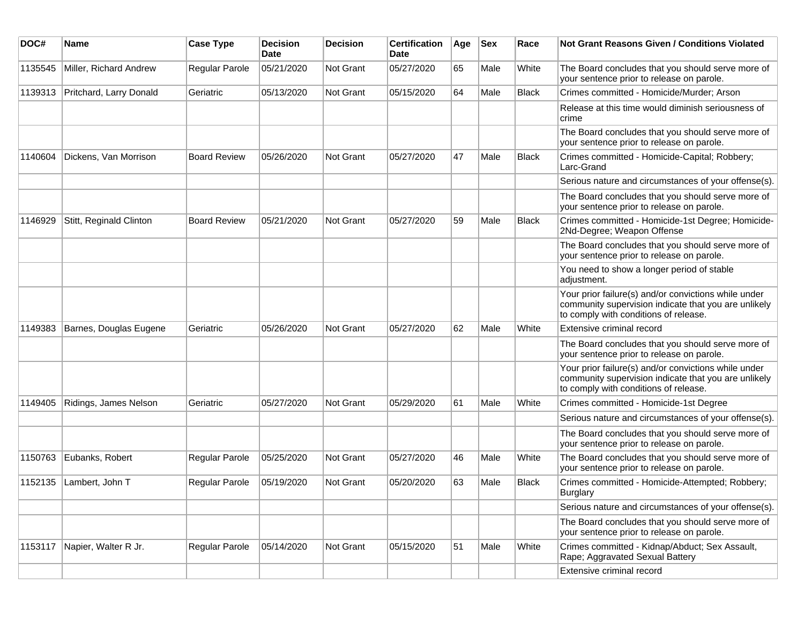| DOC#    | Name                    | <b>Case Type</b>    | <b>Decision</b><br><b>Date</b> | <b>Decision</b> | <b>Certification</b><br>Date | Age | <b>Sex</b> | Race         | Not Grant Reasons Given / Conditions Violated                                                                                                         |
|---------|-------------------------|---------------------|--------------------------------|-----------------|------------------------------|-----|------------|--------------|-------------------------------------------------------------------------------------------------------------------------------------------------------|
| 1135545 | Miller, Richard Andrew  | Regular Parole      | 05/21/2020                     | Not Grant       | 05/27/2020                   | 65  | Male       | White        | The Board concludes that you should serve more of<br>your sentence prior to release on parole.                                                        |
| 1139313 | Pritchard, Larry Donald | Geriatric           | 05/13/2020                     | Not Grant       | 05/15/2020                   | 64  | Male       | <b>Black</b> | Crimes committed - Homicide/Murder; Arson                                                                                                             |
|         |                         |                     |                                |                 |                              |     |            |              | Release at this time would diminish seriousness of<br>crime                                                                                           |
|         |                         |                     |                                |                 |                              |     |            |              | The Board concludes that you should serve more of<br>your sentence prior to release on parole.                                                        |
| 1140604 | Dickens, Van Morrison   | <b>Board Review</b> | 05/26/2020                     | Not Grant       | 05/27/2020                   | 47  | Male       | <b>Black</b> | Crimes committed - Homicide-Capital; Robbery;<br>Larc-Grand                                                                                           |
|         |                         |                     |                                |                 |                              |     |            |              | Serious nature and circumstances of your offense(s).                                                                                                  |
|         |                         |                     |                                |                 |                              |     |            |              | The Board concludes that you should serve more of<br>your sentence prior to release on parole.                                                        |
| 1146929 | Stitt, Reginald Clinton | <b>Board Review</b> | 05/21/2020                     | Not Grant       | 05/27/2020                   | 59  | Male       | <b>Black</b> | Crimes committed - Homicide-1st Degree; Homicide-<br>2Nd-Degree; Weapon Offense                                                                       |
|         |                         |                     |                                |                 |                              |     |            |              | The Board concludes that you should serve more of<br>your sentence prior to release on parole.                                                        |
|         |                         |                     |                                |                 |                              |     |            |              | You need to show a longer period of stable<br>adjustment.                                                                                             |
|         |                         |                     |                                |                 |                              |     |            |              | Your prior failure(s) and/or convictions while under<br>community supervision indicate that you are unlikely<br>to comply with conditions of release. |
| 1149383 | Barnes, Douglas Eugene  | Geriatric           | 05/26/2020                     | Not Grant       | 05/27/2020                   | 62  | Male       | White        | Extensive criminal record                                                                                                                             |
|         |                         |                     |                                |                 |                              |     |            |              | The Board concludes that you should serve more of<br>your sentence prior to release on parole.                                                        |
|         |                         |                     |                                |                 |                              |     |            |              | Your prior failure(s) and/or convictions while under<br>community supervision indicate that you are unlikely<br>to comply with conditions of release. |
| 1149405 | Ridings, James Nelson   | Geriatric           | 05/27/2020                     | Not Grant       | 05/29/2020                   | 61  | Male       | White        | Crimes committed - Homicide-1st Degree                                                                                                                |
|         |                         |                     |                                |                 |                              |     |            |              | Serious nature and circumstances of your offense(s).                                                                                                  |
|         |                         |                     |                                |                 |                              |     |            |              | The Board concludes that you should serve more of<br>your sentence prior to release on parole.                                                        |
| 1150763 | Eubanks, Robert         | Regular Parole      | 05/25/2020                     | Not Grant       | 05/27/2020                   | 46  | Male       | White        | The Board concludes that you should serve more of<br>your sentence prior to release on parole.                                                        |
| 1152135 | Lambert, John T         | Regular Parole      | 05/19/2020                     | Not Grant       | 05/20/2020                   | 63  | Male       | <b>Black</b> | Crimes committed - Homicide-Attempted; Robbery;<br>Burglary                                                                                           |
|         |                         |                     |                                |                 |                              |     |            |              | Serious nature and circumstances of your offense(s).                                                                                                  |
|         |                         |                     |                                |                 |                              |     |            |              | The Board concludes that you should serve more of<br>your sentence prior to release on parole.                                                        |
| 1153117 | Napier, Walter R Jr.    | Regular Parole      | 05/14/2020                     | Not Grant       | 05/15/2020                   | 51  | Male       | White        | Crimes committed - Kidnap/Abduct; Sex Assault,<br>Rape; Aggravated Sexual Battery                                                                     |
|         |                         |                     |                                |                 |                              |     |            |              | Extensive criminal record                                                                                                                             |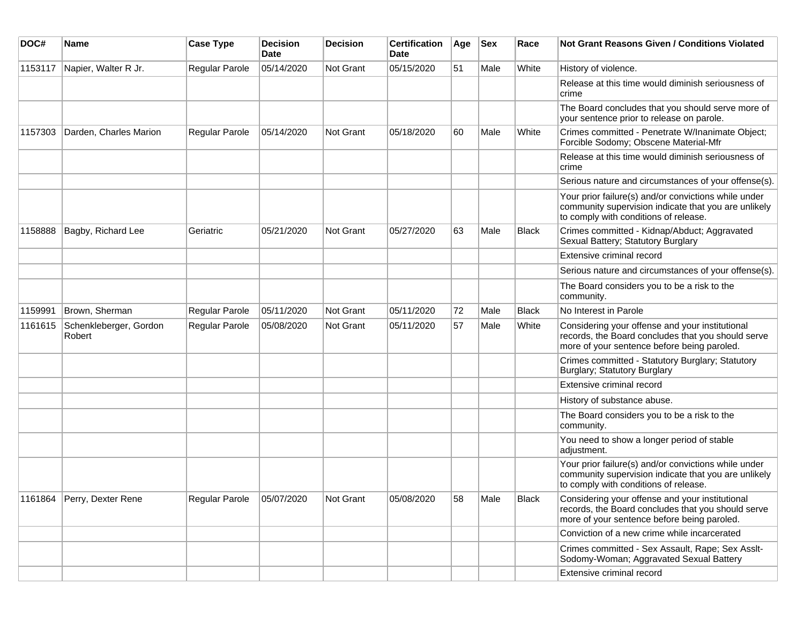| DOC#    | <b>Name</b>                      | <b>Case Type</b> | <b>Decision</b><br><b>Date</b> | <b>Decision</b> | <b>Certification</b><br>Date | Age | <b>Sex</b> | Race         | <b>Not Grant Reasons Given / Conditions Violated</b>                                                                                                  |
|---------|----------------------------------|------------------|--------------------------------|-----------------|------------------------------|-----|------------|--------------|-------------------------------------------------------------------------------------------------------------------------------------------------------|
| 1153117 | Napier, Walter R Jr.             | Regular Parole   | 05/14/2020                     | Not Grant       | 05/15/2020                   | 51  | Male       | White        | History of violence.                                                                                                                                  |
|         |                                  |                  |                                |                 |                              |     |            |              | Release at this time would diminish seriousness of<br>crime                                                                                           |
|         |                                  |                  |                                |                 |                              |     |            |              | The Board concludes that you should serve more of<br>your sentence prior to release on parole.                                                        |
| 1157303 | Darden, Charles Marion           | Regular Parole   | 05/14/2020                     | Not Grant       | 05/18/2020                   | 60  | Male       | White        | Crimes committed - Penetrate W/Inanimate Object;<br>Forcible Sodomy; Obscene Material-Mfr                                                             |
|         |                                  |                  |                                |                 |                              |     |            |              | Release at this time would diminish seriousness of<br>crime                                                                                           |
|         |                                  |                  |                                |                 |                              |     |            |              | Serious nature and circumstances of your offense(s).                                                                                                  |
|         |                                  |                  |                                |                 |                              |     |            |              | Your prior failure(s) and/or convictions while under<br>community supervision indicate that you are unlikely<br>to comply with conditions of release. |
| 1158888 | Bagby, Richard Lee               | Geriatric        | 05/21/2020                     | Not Grant       | 05/27/2020                   | 63  | Male       | <b>Black</b> | Crimes committed - Kidnap/Abduct; Aggravated<br>Sexual Battery; Statutory Burglary                                                                    |
|         |                                  |                  |                                |                 |                              |     |            |              | Extensive criminal record                                                                                                                             |
|         |                                  |                  |                                |                 |                              |     |            |              | Serious nature and circumstances of your offense(s).                                                                                                  |
|         |                                  |                  |                                |                 |                              |     |            |              | The Board considers you to be a risk to the<br>community.                                                                                             |
| 1159991 | Brown, Sherman                   | Regular Parole   | 05/11/2020                     | Not Grant       | 05/11/2020                   | 72  | Male       | <b>Black</b> | No Interest in Parole                                                                                                                                 |
| 1161615 | Schenkleberger, Gordon<br>Robert | Regular Parole   | 05/08/2020                     | Not Grant       | 05/11/2020                   | 57  | Male       | White        | Considering your offense and your institutional<br>records, the Board concludes that you should serve<br>more of your sentence before being paroled.  |
|         |                                  |                  |                                |                 |                              |     |            |              | Crimes committed - Statutory Burglary; Statutory<br>Burglary; Statutory Burglary                                                                      |
|         |                                  |                  |                                |                 |                              |     |            |              | Extensive criminal record                                                                                                                             |
|         |                                  |                  |                                |                 |                              |     |            |              | History of substance abuse.                                                                                                                           |
|         |                                  |                  |                                |                 |                              |     |            |              | The Board considers you to be a risk to the<br>community.                                                                                             |
|         |                                  |                  |                                |                 |                              |     |            |              | You need to show a longer period of stable<br>adjustment.                                                                                             |
|         |                                  |                  |                                |                 |                              |     |            |              | Your prior failure(s) and/or convictions while under<br>community supervision indicate that you are unlikely<br>to comply with conditions of release. |
|         | 1161864 Perry, Dexter Rene       | Regular Parole   | 05/07/2020                     | Not Grant       | 05/08/2020                   | 58  | Male       | Black        | Considering your offense and your institutional<br>records, the Board concludes that you should serve<br>more of your sentence before being paroled.  |
|         |                                  |                  |                                |                 |                              |     |            |              | Conviction of a new crime while incarcerated                                                                                                          |
|         |                                  |                  |                                |                 |                              |     |            |              | Crimes committed - Sex Assault, Rape; Sex Asslt-<br>Sodomy-Woman; Aggravated Sexual Battery                                                           |
|         |                                  |                  |                                |                 |                              |     |            |              | Extensive criminal record                                                                                                                             |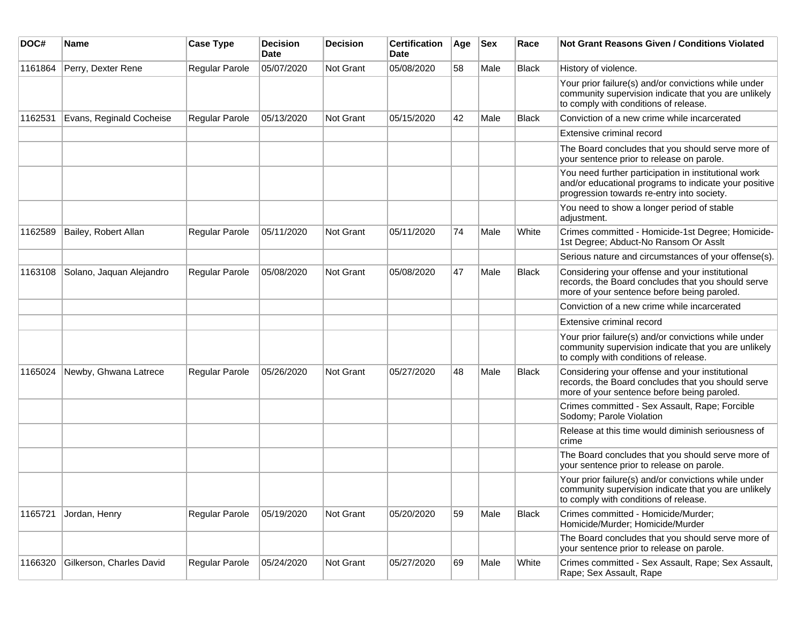| DOC#    | <b>Name</b>              | <b>Case Type</b>      | <b>Decision</b><br>Date | <b>Decision</b>  | <b>Certification</b><br>Date | Age | Sex  | Race         | Not Grant Reasons Given / Conditions Violated                                                                                                               |
|---------|--------------------------|-----------------------|-------------------------|------------------|------------------------------|-----|------|--------------|-------------------------------------------------------------------------------------------------------------------------------------------------------------|
| 1161864 | Perry, Dexter Rene       | Regular Parole        | 05/07/2020              | Not Grant        | 05/08/2020                   | 58  | Male | <b>Black</b> | History of violence.                                                                                                                                        |
|         |                          |                       |                         |                  |                              |     |      |              | Your prior failure(s) and/or convictions while under<br>community supervision indicate that you are unlikely<br>to comply with conditions of release.       |
| 1162531 | Evans, Reginald Cocheise | Regular Parole        | 05/13/2020              | Not Grant        | 05/15/2020                   | 42  | Male | <b>Black</b> | Conviction of a new crime while incarcerated                                                                                                                |
|         |                          |                       |                         |                  |                              |     |      |              | Extensive criminal record                                                                                                                                   |
|         |                          |                       |                         |                  |                              |     |      |              | The Board concludes that you should serve more of<br>your sentence prior to release on parole.                                                              |
|         |                          |                       |                         |                  |                              |     |      |              | You need further participation in institutional work<br>and/or educational programs to indicate your positive<br>progression towards re-entry into society. |
|         |                          |                       |                         |                  |                              |     |      |              | You need to show a longer period of stable<br>adjustment.                                                                                                   |
| 1162589 | Bailey, Robert Allan     | Regular Parole        | 05/11/2020              | Not Grant        | 05/11/2020                   | 74  | Male | White        | Crimes committed - Homicide-1st Degree; Homicide-<br>1st Degree; Abduct-No Ransom Or Asslt                                                                  |
|         |                          |                       |                         |                  |                              |     |      |              | Serious nature and circumstances of your offense(s).                                                                                                        |
| 1163108 | Solano, Jaquan Alejandro | Regular Parole        | 05/08/2020              | <b>Not Grant</b> | 05/08/2020                   | 47  | Male | <b>Black</b> | Considering your offense and your institutional<br>records, the Board concludes that you should serve<br>more of your sentence before being paroled.        |
|         |                          |                       |                         |                  |                              |     |      |              | Conviction of a new crime while incarcerated                                                                                                                |
|         |                          |                       |                         |                  |                              |     |      |              | Extensive criminal record                                                                                                                                   |
|         |                          |                       |                         |                  |                              |     |      |              | Your prior failure(s) and/or convictions while under<br>community supervision indicate that you are unlikely<br>to comply with conditions of release.       |
| 1165024 | Newby, Ghwana Latrece    | <b>Regular Parole</b> | 05/26/2020              | <b>Not Grant</b> | 05/27/2020                   | 48  | Male | Black        | Considering your offense and your institutional<br>records, the Board concludes that you should serve<br>more of your sentence before being paroled.        |
|         |                          |                       |                         |                  |                              |     |      |              | Crimes committed - Sex Assault, Rape; Forcible<br>Sodomy; Parole Violation                                                                                  |
|         |                          |                       |                         |                  |                              |     |      |              | Release at this time would diminish seriousness of<br>crime                                                                                                 |
|         |                          |                       |                         |                  |                              |     |      |              | The Board concludes that you should serve more of<br>your sentence prior to release on parole.                                                              |
|         |                          |                       |                         |                  |                              |     |      |              | Your prior failure(s) and/or convictions while under<br>community supervision indicate that you are unlikely<br>to comply with conditions of release.       |
| 1165721 | Jordan, Henry            | Regular Parole        | 05/19/2020              | Not Grant        | 05/20/2020                   | 59  | Male | <b>Black</b> | Crimes committed - Homicide/Murder;<br>Homicide/Murder; Homicide/Murder                                                                                     |
|         |                          |                       |                         |                  |                              |     |      |              | The Board concludes that you should serve more of<br>your sentence prior to release on parole.                                                              |
| 1166320 | Gilkerson, Charles David | Regular Parole        | 05/24/2020              | <b>Not Grant</b> | 05/27/2020                   | 69  | Male | White        | Crimes committed - Sex Assault, Rape; Sex Assault,<br>Rape; Sex Assault, Rape                                                                               |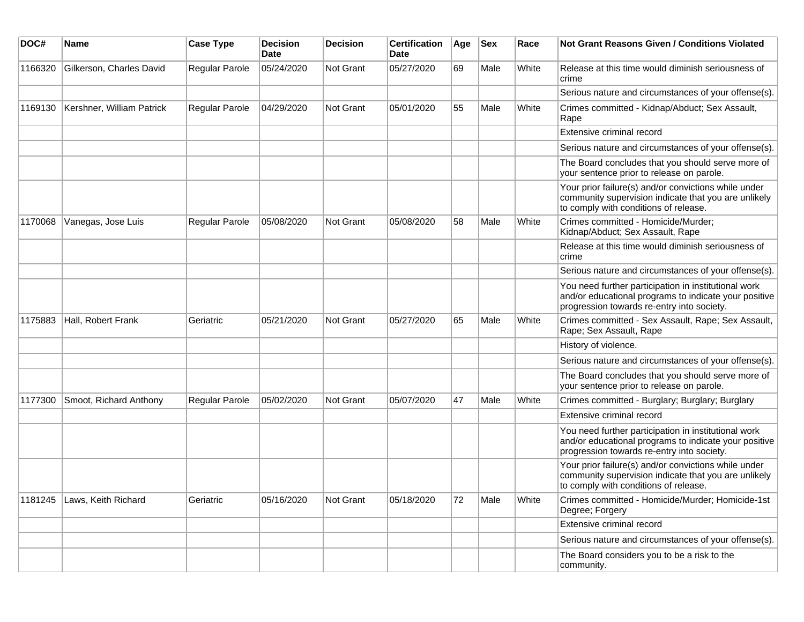| DOC#    | <b>Name</b>               | <b>Case Type</b>      | <b>Decision</b><br><b>Date</b> | <b>Decision</b>  | <b>Certification</b><br><b>Date</b> | Age | <b>Sex</b> | Race  | Not Grant Reasons Given / Conditions Violated                                                                                                               |
|---------|---------------------------|-----------------------|--------------------------------|------------------|-------------------------------------|-----|------------|-------|-------------------------------------------------------------------------------------------------------------------------------------------------------------|
| 1166320 | Gilkerson, Charles David  | Regular Parole        | 05/24/2020                     | <b>Not Grant</b> | 05/27/2020                          | 69  | Male       | White | Release at this time would diminish seriousness of<br>crime                                                                                                 |
|         |                           |                       |                                |                  |                                     |     |            |       | Serious nature and circumstances of your offense(s).                                                                                                        |
| 1169130 | Kershner, William Patrick | Regular Parole        | 04/29/2020                     | <b>Not Grant</b> | 05/01/2020                          | 55  | Male       | White | Crimes committed - Kidnap/Abduct; Sex Assault,<br>Rape                                                                                                      |
|         |                           |                       |                                |                  |                                     |     |            |       | Extensive criminal record                                                                                                                                   |
|         |                           |                       |                                |                  |                                     |     |            |       | Serious nature and circumstances of your offense(s).                                                                                                        |
|         |                           |                       |                                |                  |                                     |     |            |       | The Board concludes that you should serve more of<br>your sentence prior to release on parole.                                                              |
|         |                           |                       |                                |                  |                                     |     |            |       | Your prior failure(s) and/or convictions while under<br>community supervision indicate that you are unlikely<br>to comply with conditions of release.       |
| 1170068 | Vanegas, Jose Luis        | <b>Regular Parole</b> | 05/08/2020                     | Not Grant        | 05/08/2020                          | 58  | Male       | White | Crimes committed - Homicide/Murder;<br>Kidnap/Abduct; Sex Assault, Rape                                                                                     |
|         |                           |                       |                                |                  |                                     |     |            |       | Release at this time would diminish seriousness of<br>crime                                                                                                 |
|         |                           |                       |                                |                  |                                     |     |            |       | Serious nature and circumstances of your offense(s).                                                                                                        |
|         |                           |                       |                                |                  |                                     |     |            |       | You need further participation in institutional work<br>and/or educational programs to indicate your positive<br>progression towards re-entry into society. |
| 1175883 | Hall, Robert Frank        | Geriatric             | 05/21/2020                     | <b>Not Grant</b> | 05/27/2020                          | 65  | Male       | White | Crimes committed - Sex Assault, Rape; Sex Assault,<br>Rape; Sex Assault, Rape                                                                               |
|         |                           |                       |                                |                  |                                     |     |            |       | History of violence.                                                                                                                                        |
|         |                           |                       |                                |                  |                                     |     |            |       | Serious nature and circumstances of your offense(s).                                                                                                        |
|         |                           |                       |                                |                  |                                     |     |            |       | The Board concludes that you should serve more of<br>your sentence prior to release on parole.                                                              |
| 1177300 | Smoot, Richard Anthony    | <b>Regular Parole</b> | 05/02/2020                     | <b>Not Grant</b> | 05/07/2020                          | 47  | Male       | White | Crimes committed - Burglary; Burglary; Burglary                                                                                                             |
|         |                           |                       |                                |                  |                                     |     |            |       | Extensive criminal record                                                                                                                                   |
|         |                           |                       |                                |                  |                                     |     |            |       | You need further participation in institutional work<br>and/or educational programs to indicate your positive<br>progression towards re-entry into society. |
|         |                           |                       |                                |                  |                                     |     |            |       | Your prior failure(s) and/or convictions while under<br>community supervision indicate that you are unlikely<br>to comply with conditions of release.       |
| 1181245 | Laws, Keith Richard       | Geriatric             | 05/16/2020                     | Not Grant        | 05/18/2020                          | 72  | Male       | White | Crimes committed - Homicide/Murder; Homicide-1st<br>Degree; Forgery                                                                                         |
|         |                           |                       |                                |                  |                                     |     |            |       | Extensive criminal record                                                                                                                                   |
|         |                           |                       |                                |                  |                                     |     |            |       | Serious nature and circumstances of your offense(s).                                                                                                        |
|         |                           |                       |                                |                  |                                     |     |            |       | The Board considers you to be a risk to the<br>community.                                                                                                   |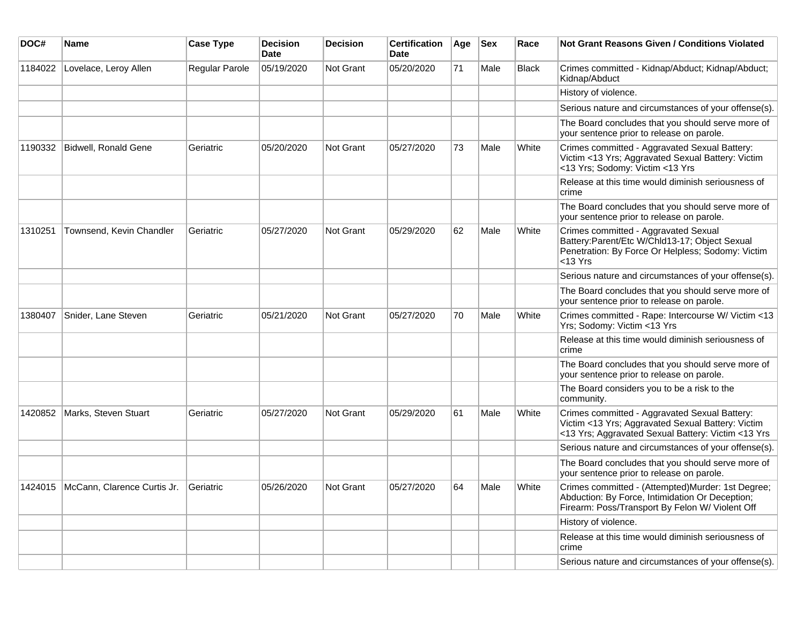| DOC#    | <b>Name</b>                                   | <b>Case Type</b> | <b>Decision</b><br><b>Date</b> | <b>Decision</b>  | <b>Certification</b><br>Date | Age | <b>Sex</b> | Race  | <b>Not Grant Reasons Given / Conditions Violated</b>                                                                                                      |
|---------|-----------------------------------------------|------------------|--------------------------------|------------------|------------------------------|-----|------------|-------|-----------------------------------------------------------------------------------------------------------------------------------------------------------|
| 1184022 | Lovelace, Leroy Allen                         | Regular Parole   | 05/19/2020                     | Not Grant        | 05/20/2020                   | 71  | Male       | Black | Crimes committed - Kidnap/Abduct; Kidnap/Abduct;<br>Kidnap/Abduct                                                                                         |
|         |                                               |                  |                                |                  |                              |     |            |       | History of violence.                                                                                                                                      |
|         |                                               |                  |                                |                  |                              |     |            |       | Serious nature and circumstances of your offense(s).                                                                                                      |
|         |                                               |                  |                                |                  |                              |     |            |       | The Board concludes that you should serve more of<br>your sentence prior to release on parole.                                                            |
| 1190332 | Bidwell, Ronald Gene                          | Geriatric        | 05/20/2020                     | Not Grant        | 05/27/2020                   | 73  | Male       | White | Crimes committed - Aggravated Sexual Battery:<br>Victim <13 Yrs; Aggravated Sexual Battery: Victim<br><13 Yrs; Sodomy: Victim <13 Yrs                     |
|         |                                               |                  |                                |                  |                              |     |            |       | Release at this time would diminish seriousness of<br>crime                                                                                               |
|         |                                               |                  |                                |                  |                              |     |            |       | The Board concludes that you should serve more of<br>your sentence prior to release on parole.                                                            |
| 1310251 | Townsend, Kevin Chandler                      | Geriatric        | 05/27/2020                     | Not Grant        | 05/29/2020                   | 62  | Male       | White | Crimes committed - Aggravated Sexual<br>Battery: Parent/Etc W/Chld13-17; Object Sexual<br>Penetration: By Force Or Helpless; Sodomy: Victim<br>$<$ 13 Yrs |
|         |                                               |                  |                                |                  |                              |     |            |       | Serious nature and circumstances of your offense(s).                                                                                                      |
|         |                                               |                  |                                |                  |                              |     |            |       | The Board concludes that you should serve more of<br>your sentence prior to release on parole.                                                            |
| 1380407 | Snider, Lane Steven                           | Geriatric        | 05/21/2020                     | Not Grant        | 05/27/2020                   | 70  | Male       | White | Crimes committed - Rape: Intercourse W/ Victim <13<br>Yrs; Sodomy: Victim <13 Yrs                                                                         |
|         |                                               |                  |                                |                  |                              |     |            |       | Release at this time would diminish seriousness of<br>crime                                                                                               |
|         |                                               |                  |                                |                  |                              |     |            |       | The Board concludes that you should serve more of<br>your sentence prior to release on parole.                                                            |
|         |                                               |                  |                                |                  |                              |     |            |       | The Board considers you to be a risk to the<br>community.                                                                                                 |
| 1420852 | Marks, Steven Stuart                          | Geriatric        | 05/27/2020                     | Not Grant        | 05/29/2020                   | 61  | Male       | White | Crimes committed - Aggravated Sexual Battery:<br>Victim <13 Yrs; Aggravated Sexual Battery: Victim<br><13 Yrs; Aggravated Sexual Battery: Victim <13 Yrs  |
|         |                                               |                  |                                |                  |                              |     |            |       | Serious nature and circumstances of your offense(s).                                                                                                      |
|         |                                               |                  |                                |                  |                              |     |            |       | The Board concludes that you should serve more of<br>your sentence prior to release on parole.                                                            |
|         | 1424015 McCann, Clarence Curtis Jr. Geriatric |                  | 05/26/2020                     | <b>Not Grant</b> | 05/27/2020                   | 64  | Male       | White | Crimes committed - (Attempted)Murder: 1st Degree;<br>Abduction: By Force, Intimidation Or Deception;<br>Firearm: Poss/Transport By Felon W/ Violent Off   |
|         |                                               |                  |                                |                  |                              |     |            |       | History of violence.                                                                                                                                      |
|         |                                               |                  |                                |                  |                              |     |            |       | Release at this time would diminish seriousness of<br>crime                                                                                               |
|         |                                               |                  |                                |                  |                              |     |            |       | Serious nature and circumstances of your offense(s).                                                                                                      |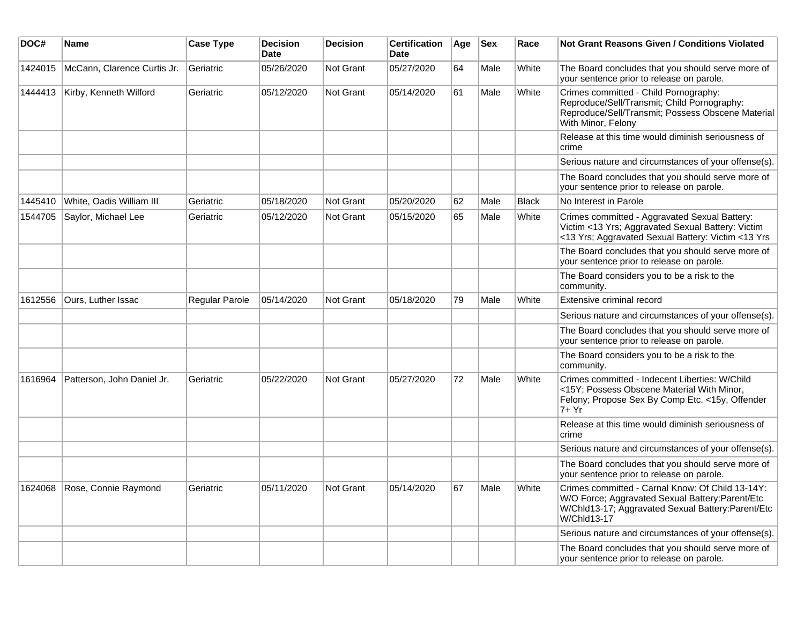| DOC#    | <b>Name</b>                 | <b>Case Type</b> | <b>Decision</b><br><b>Date</b> | <b>Decision</b>  | <b>Certification</b><br><b>Date</b> | Age | <b>Sex</b> | Race         | <b>Not Grant Reasons Given / Conditions Violated</b>                                                                                                                      |
|---------|-----------------------------|------------------|--------------------------------|------------------|-------------------------------------|-----|------------|--------------|---------------------------------------------------------------------------------------------------------------------------------------------------------------------------|
| 1424015 | McCann, Clarence Curtis Jr. | Geriatric        | 05/26/2020                     | <b>Not Grant</b> | 05/27/2020                          | 64  | Male       | White        | The Board concludes that you should serve more of<br>your sentence prior to release on parole.                                                                            |
| 1444413 | Kirby, Kenneth Wilford      | Geriatric        | 05/12/2020                     | Not Grant        | 05/14/2020                          | 61  | Male       | White        | Crimes committed - Child Pornography:<br>Reproduce/Sell/Transmit; Child Pornography:<br>Reproduce/Sell/Transmit; Possess Obscene Material<br>With Minor, Felony           |
|         |                             |                  |                                |                  |                                     |     |            |              | Release at this time would diminish seriousness of<br>crime                                                                                                               |
|         |                             |                  |                                |                  |                                     |     |            |              | Serious nature and circumstances of your offense(s).                                                                                                                      |
|         |                             |                  |                                |                  |                                     |     |            |              | The Board concludes that you should serve more of<br>your sentence prior to release on parole.                                                                            |
| 1445410 | White, Oadis William III    | Geriatric        | 05/18/2020                     | <b>Not Grant</b> | 05/20/2020                          | 62  | Male       | <b>Black</b> | No Interest in Parole                                                                                                                                                     |
| 1544705 | Saylor, Michael Lee         | Geriatric        | 05/12/2020                     | <b>Not Grant</b> | 05/15/2020                          | 65  | Male       | White        | Crimes committed - Aggravated Sexual Battery:<br>Victim <13 Yrs; Aggravated Sexual Battery: Victim<br><13 Yrs; Aggravated Sexual Battery: Victim <13 Yrs                  |
|         |                             |                  |                                |                  |                                     |     |            |              | The Board concludes that you should serve more of<br>your sentence prior to release on parole.                                                                            |
|         |                             |                  |                                |                  |                                     |     |            |              | The Board considers you to be a risk to the<br>community.                                                                                                                 |
| 1612556 | Ours, Luther Issac          | Regular Parole   | 05/14/2020                     | Not Grant        | 05/18/2020                          | 79  | Male       | White        | Extensive criminal record                                                                                                                                                 |
|         |                             |                  |                                |                  |                                     |     |            |              | Serious nature and circumstances of your offense(s).                                                                                                                      |
|         |                             |                  |                                |                  |                                     |     |            |              | The Board concludes that you should serve more of<br>your sentence prior to release on parole.                                                                            |
|         |                             |                  |                                |                  |                                     |     |            |              | The Board considers you to be a risk to the<br>community.                                                                                                                 |
| 1616964 | Patterson, John Daniel Jr.  | Geriatric        | 05/22/2020                     | <b>Not Grant</b> | 05/27/2020                          | 72  | Male       | White        | Crimes committed - Indecent Liberties: W/Child<br><15Y; Possess Obscene Material With Minor,<br>Felony; Propose Sex By Comp Etc. <15y, Offender<br>7+ Yr                  |
|         |                             |                  |                                |                  |                                     |     |            |              | Release at this time would diminish seriousness of<br>crime                                                                                                               |
|         |                             |                  |                                |                  |                                     |     |            |              | Serious nature and circumstances of your offense(s).                                                                                                                      |
|         |                             |                  |                                |                  |                                     |     |            |              | The Board concludes that you should serve more of<br>your sentence prior to release on parole.                                                                            |
| 1624068 | Rose, Connie Raymond        | Geriatric        | 05/11/2020                     | <b>Not Grant</b> | 05/14/2020                          | 67  | Male       | White        | Crimes committed - Carnal Know: Of Child 13-14Y:<br>W/O Force; Aggravated Sexual Battery: Parent/Etc<br>W/Chld13-17; Aggravated Sexual Battery: Parent/Etc<br>W/Chld13-17 |
|         |                             |                  |                                |                  |                                     |     |            |              | Serious nature and circumstances of your offense(s).                                                                                                                      |
|         |                             |                  |                                |                  |                                     |     |            |              | The Board concludes that you should serve more of<br>your sentence prior to release on parole.                                                                            |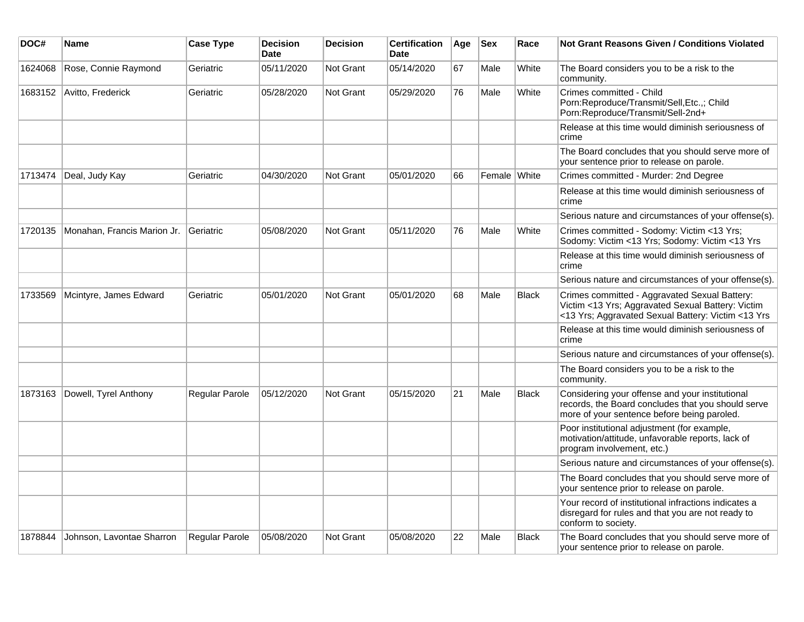| DOC#    | <b>Name</b>                 | <b>Case Type</b> | <b>Decision</b><br><b>Date</b> | <b>Decision</b>  | <b>Certification</b><br><b>Date</b> | Age | <b>Sex</b>   | Race         | <b>Not Grant Reasons Given / Conditions Violated</b>                                                                                                     |
|---------|-----------------------------|------------------|--------------------------------|------------------|-------------------------------------|-----|--------------|--------------|----------------------------------------------------------------------------------------------------------------------------------------------------------|
| 1624068 | Rose, Connie Raymond        | Geriatric        | 05/11/2020                     | Not Grant        | 05/14/2020                          | 67  | Male         | White        | The Board considers you to be a risk to the<br>community.                                                                                                |
| 1683152 | Avitto, Frederick           | Geriatric        | 05/28/2020                     | Not Grant        | 05/29/2020                          | 76  | Male         | White        | Crimes committed - Child<br>Porn:Reproduce/Transmit/Sell,Etc.,; Child<br>Porn:Reproduce/Transmit/Sell-2nd+                                               |
|         |                             |                  |                                |                  |                                     |     |              |              | Release at this time would diminish seriousness of<br>crime                                                                                              |
|         |                             |                  |                                |                  |                                     |     |              |              | The Board concludes that you should serve more of<br>your sentence prior to release on parole.                                                           |
| 1713474 | Deal, Judy Kay              | Geriatric        | 04/30/2020                     | <b>Not Grant</b> | 05/01/2020                          | 66  | Female White |              | Crimes committed - Murder: 2nd Degree                                                                                                                    |
|         |                             |                  |                                |                  |                                     |     |              |              | Release at this time would diminish seriousness of<br>crime                                                                                              |
|         |                             |                  |                                |                  |                                     |     |              |              | Serious nature and circumstances of your offense(s).                                                                                                     |
| 1720135 | Monahan, Francis Marion Jr. | Geriatric        | 05/08/2020                     | <b>Not Grant</b> | 05/11/2020                          | 76  | Male         | White        | Crimes committed - Sodomy: Victim <13 Yrs;<br>Sodomy: Victim <13 Yrs; Sodomy: Victim <13 Yrs                                                             |
|         |                             |                  |                                |                  |                                     |     |              |              | Release at this time would diminish seriousness of<br>crime                                                                                              |
|         |                             |                  |                                |                  |                                     |     |              |              | Serious nature and circumstances of your offense(s).                                                                                                     |
| 1733569 | Mcintyre, James Edward      | Geriatric        | 05/01/2020                     | Not Grant        | 05/01/2020                          | 68  | Male         | <b>Black</b> | Crimes committed - Aggravated Sexual Battery:<br>Victim <13 Yrs; Aggravated Sexual Battery: Victim<br><13 Yrs; Aggravated Sexual Battery: Victim <13 Yrs |
|         |                             |                  |                                |                  |                                     |     |              |              | Release at this time would diminish seriousness of<br>crime                                                                                              |
|         |                             |                  |                                |                  |                                     |     |              |              | Serious nature and circumstances of your offense(s).                                                                                                     |
|         |                             |                  |                                |                  |                                     |     |              |              | The Board considers you to be a risk to the<br>community.                                                                                                |
| 1873163 | Dowell, Tyrel Anthony       | Regular Parole   | 05/12/2020                     | <b>Not Grant</b> | 05/15/2020                          | 21  | Male         | <b>Black</b> | Considering your offense and your institutional<br>records, the Board concludes that you should serve<br>more of your sentence before being paroled.     |
|         |                             |                  |                                |                  |                                     |     |              |              | Poor institutional adjustment (for example,<br>motivation/attitude, unfavorable reports, lack of<br>program involvement, etc.)                           |
|         |                             |                  |                                |                  |                                     |     |              |              | Serious nature and circumstances of your offense(s).                                                                                                     |
|         |                             |                  |                                |                  |                                     |     |              |              | The Board concludes that you should serve more of<br>your sentence prior to release on parole.                                                           |
|         |                             |                  |                                |                  |                                     |     |              |              | Your record of institutional infractions indicates a<br>disregard for rules and that you are not ready to<br>conform to society.                         |
| 1878844 | Johnson, Lavontae Sharron   | Regular Parole   | 05/08/2020                     | Not Grant        | 05/08/2020                          | 22  | Male         | <b>Black</b> | The Board concludes that you should serve more of<br>your sentence prior to release on parole.                                                           |